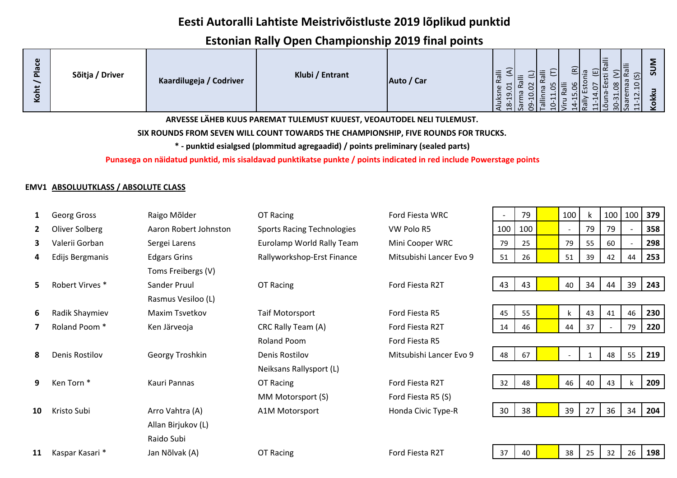# **Eesti Autoralli Lahtiste Meistrivõistluste 2019 lõplikud punktid**

## **Estonian Rally Open Championship 2019 final points**

| Koht / Place | Sõitja / Driver                            | Kaardilugeja / Codriver | Klubi / Entrant                                                                                                     | Auto / Car              |     | (1) 20.01-60<br>Sarma Ralli | E<br>Ralli<br>10-11.05<br><b>Fallinna</b> | $\mathfrak{E}$<br>14-15.06<br><b>Viru Ralli</b> | $(\mathsf{E})$<br>Rally Estonia<br>11-14.07 | õuna-Eesti Ralli<br>30-31.08 (V) | Saaremaa Ralli<br>$(1-12.10(S))$ | SUM<br>Kokku |
|--------------|--------------------------------------------|-------------------------|---------------------------------------------------------------------------------------------------------------------|-------------------------|-----|-----------------------------|-------------------------------------------|-------------------------------------------------|---------------------------------------------|----------------------------------|----------------------------------|--------------|
|              |                                            |                         | ARVESSE LÄHEB KUUS PAREMAT TULEMUST KUUEST, VEOAUTODEL NELI TULEMUST.                                               |                         |     |                             |                                           |                                                 |                                             |                                  |                                  |              |
|              |                                            |                         | SIX ROUNDS FROM SEVEN WILL COUNT TOWARDS THE CHAMPIONSHIP, FIVE ROUNDS FOR TRUCKS.                                  |                         |     |                             |                                           |                                                 |                                             |                                  |                                  |              |
|              |                                            |                         | * - punktid esialgsed (plommitud agregaadid) / points preliminary (sealed parts)                                    |                         |     |                             |                                           |                                                 |                                             |                                  |                                  |              |
|              |                                            |                         | Punasega on näidatud punktid, mis sisaldavad punktikatse punkte / points indicated in red include Powerstage points |                         |     |                             |                                           |                                                 |                                             |                                  |                                  |              |
|              |                                            |                         |                                                                                                                     |                         |     |                             |                                           |                                                 |                                             |                                  |                                  |              |
|              | <b>EMV1 ABSOLUUTKLASS / ABSOLUTE CLASS</b> |                         |                                                                                                                     |                         |     |                             |                                           |                                                 |                                             |                                  |                                  |              |
|              |                                            |                         |                                                                                                                     |                         |     |                             |                                           |                                                 |                                             |                                  |                                  |              |
| 1            | Georg Gross                                | Raigo Mõlder            | OT Racing                                                                                                           | Ford Fiesta WRC         |     | 79                          |                                           | 100                                             | $\mathsf k$                                 | 100                              | 100                              | 379          |
| 2            | Oliver Solberg                             | Aaron Robert Johnston   | <b>Sports Racing Technologies</b>                                                                                   | VW Polo R5              | 100 | 100                         |                                           | $\overline{\phantom{a}}$                        | 79                                          | 79                               |                                  | 358          |
| 3            | Valerii Gorban                             | Sergei Larens           | Eurolamp World Rally Team                                                                                           | Mini Cooper WRC         | 79  | 25                          |                                           | 79                                              | 55                                          | 60                               |                                  | 298          |
| 4            | Edijs Bergmanis                            | <b>Edgars Grins</b>     | Rallyworkshop-Erst Finance                                                                                          | Mitsubishi Lancer Evo 9 | 51  | 26                          |                                           | 51                                              | 39                                          | 42                               | 44                               | 253          |
|              |                                            | Toms Freibergs (V)      |                                                                                                                     |                         |     |                             |                                           |                                                 |                                             |                                  |                                  |              |
| 5            | Robert Virves *                            | Sander Pruul            | OT Racing                                                                                                           | Ford Fiesta R2T         | 43  | 43                          |                                           | 40                                              | 34                                          | 44                               | 39                               | 243          |
|              |                                            | Rasmus Vesiloo (L)      |                                                                                                                     |                         |     |                             |                                           |                                                 |                                             |                                  |                                  |              |
| 6            | Radik Shaymiev                             | Maxim Tsvetkov          | <b>Taif Motorsport</b>                                                                                              | Ford Fiesta R5          | 45  | 55                          |                                           | $\sf k$                                         | 43                                          | 41                               | 46                               | 230          |
| 7            | Roland Poom *                              | Ken Järveoja            | CRC Rally Team (A)                                                                                                  | Ford Fiesta R2T         | 14  | 46                          |                                           | 44                                              | 37                                          |                                  | 79                               | 220          |
|              |                                            |                         | <b>Roland Poom</b>                                                                                                  | Ford Fiesta R5          |     |                             |                                           |                                                 |                                             |                                  |                                  |              |
| 8            | <b>Denis Rostilov</b>                      | Georgy Troshkin         | <b>Denis Rostilov</b>                                                                                               | Mitsubishi Lancer Evo 9 | 48  | 67                          |                                           |                                                 | $\mathbf{1}$                                | 48                               | 55                               | 219          |
|              |                                            |                         | Neiksans Rallysport (L)                                                                                             |                         |     |                             |                                           |                                                 |                                             |                                  |                                  |              |
| 9            | Ken Torn <sup>*</sup>                      | Kauri Pannas            | OT Racing                                                                                                           | Ford Fiesta R2T         | 32  | 48                          |                                           | 46                                              | 40                                          | 43                               | k                                | 209          |
|              |                                            |                         | MM Motorsport (S)                                                                                                   | Ford Fiesta R5 (S)      |     |                             |                                           |                                                 |                                             |                                  |                                  |              |
| 10           | Kristo Subi                                | Arro Vahtra (A)         | A1M Motorsport                                                                                                      | Honda Civic Type-R      | 30  | 38                          |                                           | 39                                              | 27                                          | 36                               | 34                               | 204          |
|              |                                            | Allan Birjukov (L)      |                                                                                                                     |                         |     |                             |                                           |                                                 |                                             |                                  |                                  |              |
|              |                                            | Raido Subi              |                                                                                                                     |                         |     |                             |                                           |                                                 |                                             |                                  |                                  |              |
| 11           | Kaspar Kasari *                            | Jan Nõlvak (A)          | OT Racing                                                                                                           | Ford Fiesta R2T         | 37  | 40                          |                                           | 38                                              | 25                                          | 32                               | 26                               | 198          |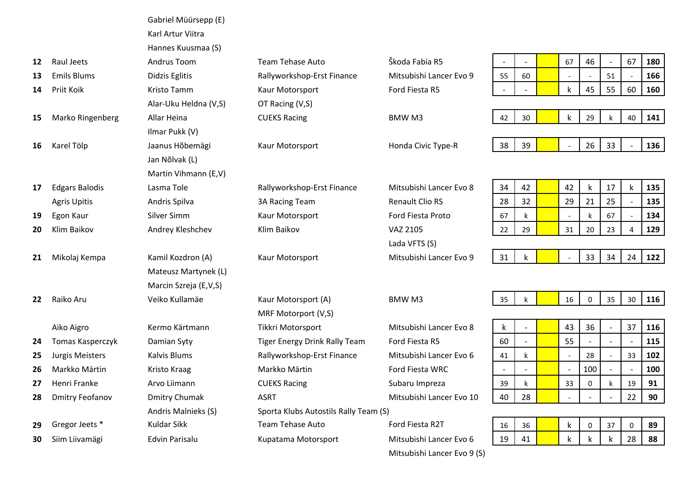|    |                        | Gabriel Müürsepp (E)  |                                       |                             |                          |    |    |             |    |    |     |
|----|------------------------|-----------------------|---------------------------------------|-----------------------------|--------------------------|----|----|-------------|----|----|-----|
|    |                        | Karl Artur Viitra     |                                       |                             |                          |    |    |             |    |    |     |
|    |                        | Hannes Kuusmaa (S)    |                                       |                             |                          |    |    |             |    |    |     |
| 12 | Raul Jeets             | Andrus Toom           | <b>Team Tehase Auto</b>               | Škoda Fabia R5              | $\overline{\phantom{a}}$ |    | 67 | 46          |    | 67 | 180 |
| 13 | <b>Emils Blums</b>     | Didzis Eglitis        | Rallyworkshop-Erst Finance            | Mitsubishi Lancer Evo 9     | 55                       | 60 |    |             | 51 |    | 166 |
| 14 | Priit Koik             | Kristo Tamm           | Kaur Motorsport                       | Ford Fiesta R5              |                          |    | k  | 45          | 55 | 60 | 160 |
|    |                        | Alar-Uku Heldna (V,S) | OT Racing (V,S)                       |                             |                          |    |    |             |    |    |     |
| 15 | Marko Ringenberg       | Allar Heina           | <b>CUEKS Racing</b>                   | <b>BMWM3</b>                | 42                       | 30 | k  | 29          |    | 40 | 141 |
|    |                        | Ilmar Pukk (V)        |                                       |                             |                          |    |    |             |    |    |     |
| 16 | Karel Tölp             | Jaanus Hõbemägi       | Kaur Motorsport                       | Honda Civic Type-R          | 38                       | 39 |    | 26          | 33 |    | 136 |
|    |                        | Jan Nõlvak (L)        |                                       |                             |                          |    |    |             |    |    |     |
|    |                        | Martin Vihmann (E,V)  |                                       |                             |                          |    |    |             |    |    |     |
| 17 | <b>Edgars Balodis</b>  | Lasma Tole            | Rallyworkshop-Erst Finance            | Mitsubishi Lancer Evo 8     | 34                       | 42 | 42 | $\mathsf k$ | 17 | k  | 135 |
|    | <b>Agris Upitis</b>    | Andris Spilva         | <b>3A Racing Team</b>                 | Renault Clio RS             | 28                       | 32 | 29 | 21          | 25 |    | 135 |
| 19 | Egon Kaur              | Silver Simm           | Kaur Motorsport                       | Ford Fiesta Proto           | 67                       | k  |    | k           | 67 |    | 134 |
| 20 | Klim Baikov            | Andrey Kleshchev      | Klim Baikov                           | VAZ 2105                    | 22                       | 29 | 31 | 20          | 23 | 4  | 129 |
|    |                        |                       |                                       | Lada VFTS (S)               |                          |    |    |             |    |    |     |
| 21 | Mikolaj Kempa          | Kamil Kozdron (A)     | Kaur Motorsport                       | Mitsubishi Lancer Evo 9     | 31                       | k  |    | 33          | 34 | 24 | 122 |
|    |                        | Mateusz Martynek (L)  |                                       |                             |                          |    |    |             |    |    |     |
|    |                        | Marcin Szreja (E,V,S) |                                       |                             |                          |    |    |             |    |    |     |
| 22 | Raiko Aru              | Veiko Kullamäe        | Kaur Motorsport (A)                   | <b>BMWM3</b>                | 35                       |    | 16 | 0           | 35 | 30 | 116 |
|    |                        |                       | MRF Motorport (V,S)                   |                             |                          |    |    |             |    |    |     |
|    | Aiko Aigro             | Kermo Kärtmann        | Tikkri Motorsport                     | Mitsubishi Lancer Evo 8     | $\mathsf k$              |    | 43 | 36          |    | 37 | 116 |
| 24 | Tomas Kasperczyk       | Damian Syty           | <b>Tiger Energy Drink Rally Team</b>  | Ford Fiesta R5              | 60                       |    | 55 |             |    |    | 115 |
| 25 | <b>Jurgis Meisters</b> | <b>Kalvis Blums</b>   | Rallyworkshop-Erst Finance            | Mitsubishi Lancer Evo 6     | 41                       | k. |    | 28          |    | 33 | 102 |
| 26 | Markko Märtin          | Kristo Kraag          | Markko Märtin                         | Ford Fiesta WRC             | $\overline{\phantom{a}}$ |    |    | 100         |    |    | 100 |
| 27 | Henri Franke           | Arvo Liimann          | <b>CUEKS Racing</b>                   | Subaru Impreza              | 39                       | k  | 33 | 0           | k  | 19 | 91  |
| 28 | <b>Dmitry Feofanov</b> | <b>Dmitry Chumak</b>  | <b>ASRT</b>                           | Mitsubishi Lancer Evo 10    | 40                       | 28 |    |             |    | 22 | 90  |
|    |                        | Andris Malnieks (S)   | Sporta Klubs Autostils Rally Team (S) |                             |                          |    |    |             |    |    |     |
| 29 | Gregor Jeets *         | Kuldar Sikk           | Team Tehase Auto                      | Ford Fiesta R2T             | 16                       | 36 | k  | 0           | 37 | 0  | 89  |
| 30 | Siim Liivamägi         | Edvin Parisalu        | Kupatama Motorsport                   | Mitsubishi Lancer Evo 6     | 19                       | 41 | k  |             |    | 28 | 88  |
|    |                        |                       |                                       | Mitsubishi Lancer Evo 9 (S) |                          |    |    |             |    |    |     |

| 55 | 60 | $\overline{\phantom{0}}$ | $\overline{\phantom{a}}$ | 51      | $\overline{\phantom{a}}$ | 166 |
|----|----|--------------------------|--------------------------|---------|--------------------------|-----|
|    | -  | k                        | 45                       | 55      | 60                       | 160 |
|    |    |                          |                          |         |                          |     |
| 42 | 30 | k                        | 29                       | $\sf k$ | 40                       | 141 |
|    |    |                          |                          |         |                          |     |
| 38 | 39 | $\overline{\phantom{a}}$ | 26                       | 33      | $\overline{\phantom{a}}$ | 136 |
|    |    |                          |                          |         |                          |     |
|    |    |                          |                          |         |                          |     |

| er Evo 8 | 34 | 42 | 42 | k  | 17 | k | 135 |
|----------|----|----|----|----|----|---|-----|
|          | 28 | 32 | 29 | 21 | 25 |   | 135 |
| o        | 67 | k  |    | k  | 67 |   | 134 |
|          | 22 | 29 | 31 | 20 | 23 |   | 129 |
|          |    |    |    |    |    |   |     |

|  | - |  | 24 | $-122$ |
|--|---|--|----|--------|
|  |   |  |    |        |

| <b>JJ</b> |  |  | -- |  |
|-----------|--|--|----|--|
|           |  |  |    |  |

| 116 | 37 |   | 36  | 43 |    | k  |
|-----|----|---|-----|----|----|----|
| 115 |    |   |     | 55 |    | 60 |
| 102 | 33 |   | 28  |    | k  | 41 |
| 100 |    |   | 100 |    |    |    |
| 91  | 19 | k | 0   | 33 | k  | 39 |
| 90  | 22 |   |     |    | 28 | 40 |

|  |  |  | 89 |
|--|--|--|----|
|  |  |  | 88 |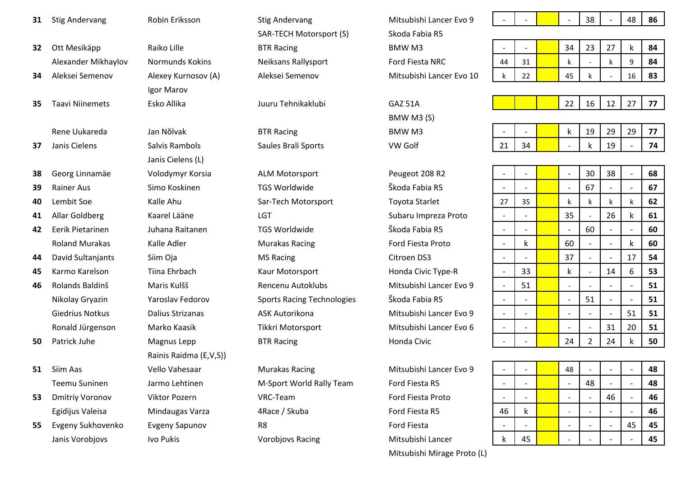| JІ | <b>SUR AIRCHVAIR</b>               |
|----|------------------------------------|
| 32 | Ott Mesikäpp<br>Alexander Mikhaylo |
| 34 | - Aleksei Semenov                  |
|    | <b>35</b> Taavi Niinemets          |
| 37 | Rene Uukareda<br>Janis Cielens     |

**31**

**38**

- **50**
- **51**
- **53**
- **55**

Igor MarovEsko Allika **Taavi Niinemets Esko Allika** GAZ 51A

Janis Cielens (L)Rainis Raidma (E,V,S))

SAR-TECH Motorsport (S) Skoda Fabia R5 Alexander Mikhaylov Normunds Kokins Neiksans Rallysport Ford Fiesta NRC4 Aleksei Semenov Alexey Kurnosov (A) Aleksei Semenov Mitsubishi Lancer Evo 10 k | 22 <mark> |</mark> 45 | k | - | 16 | **83** 

1 Stig Andervang **Robin Eriksson Stig Andervang Nitsubishi** Lancer Evo 9 <mark>- - 1 - 1 38 - 48 | 86</mark>



|                     |                 | SAR-TECH Motorsport (S) | Skoda Fabia R5    |    |        |    |               |        |    |
|---------------------|-----------------|-------------------------|-------------------|----|--------|----|---------------|--------|----|
| Ott Mesikäpp        | Raiko Lille     | <b>BTR Racing</b>       | BMW <sub>M3</sub> |    |        | 34 | $\mathcal{L}$ | $\sim$ | 84 |
| Alexander Mikhaylov | Normunds Kokins | Neiksans Rallysport     | Ford Fiesta NRC   | 44 | $\sim$ |    |               |        | 84 |
|                     |                 |                         |                   |    |        |    |               |        |    |

| Α      |  | <b>1</b> 22 16 12 27 77 |  |  |  |
|--------|--|-------------------------|--|--|--|
| 13 (S) |  |                         |  |  |  |
|        |  |                         |  |  |  |

| Rene<br>Uukareda | <b>Nõlvak</b><br>lan | <b>BTR Racing</b>   | <b>BMW M3</b> |                            |                      |  | 10 | ാവ<br>--      | າຊ<br>__ | -- |
|------------------|----------------------|---------------------|---------------|----------------------------|----------------------|--|----|---------------|----------|----|
| Janis Cielens    | Salvis Rambols       | Saules Brali Sports | VW Golf       | $\mathbf{A}$<br><u>_ _</u> | $\sim$ $\sim$<br>-34 |  |    | 1۵<br><b></b> |          | 74 |

|     | 8 Georg Linnamäe      | Volodymyr Korsia | <b>ALM Motorsport</b>             | Peugeot 208 R2          | $\overline{\phantom{0}}$ |                          | $\overline{\phantom{0}}$ | 30 | 38 |    | 68 |
|-----|-----------------------|------------------|-----------------------------------|-------------------------|--------------------------|--------------------------|--------------------------|----|----|----|----|
| 9   | <b>Rainer Aus</b>     | Simo Koskinen    | <b>TGS Worldwide</b>              | Škoda Fabia R5          |                          |                          | $\overline{a}$           | 67 |    |    | 67 |
| 0   | Lembit Soe            | Kalle Ahu        | Sar-Tech Motorsport               | <b>Toyota Starlet</b>   | 27                       | 35                       | k                        |    | k  |    | 62 |
| 1   | Allar Goldberg        | Kaarel Lääne     | LGT                               | Subaru Impreza Proto    |                          |                          | 35                       |    | 26 |    | 61 |
|     | Eerik Pietarinen      | Juhana Raitanen  | <b>TGS Worldwide</b>              | Škoda Fabia R5          |                          |                          | $\overline{\phantom{a}}$ | 60 |    |    | 60 |
|     | <b>Roland Murakas</b> | Kalle Adler      | <b>Murakas Racing</b>             | Ford Fiesta Proto       | $\overline{\phantom{a}}$ | ĸ                        | 60                       |    |    |    | 60 |
| 4   | David Sultanjants     | Siim Oja         | <b>MS Racing</b>                  | Citroen DS3             |                          |                          | 37                       |    |    | 17 | 54 |
| 5.  | Karmo Karelson        | Tiina Ehrbach    | Kaur Motorsport                   | Honda Civic Type-R      | $\overline{\phantom{a}}$ | 33                       | k                        |    | 14 | 6  | 53 |
| 6   | Rolands Baldinš       | Maris Kulšš      | Rencenu Autoklubs                 | Mitsubishi Lancer Evo 9 |                          | 51                       |                          |    |    |    | 51 |
|     | Nikolay Gryazin       | Yaroslav Fedorov | <b>Sports Racing Technologies</b> | Škoda Fabia R5          |                          | $\overline{\phantom{0}}$ | $\overline{a}$           | 51 |    |    | 51 |
|     | Giedrius Notkus       | Dalius Strizanas | ASK Autorikona                    | Mitsubishi Lancer Evo 9 |                          |                          | $\overline{\phantom{0}}$ |    |    | 51 | 51 |
|     | Ronald Jürgenson      | Marko Kaasik     | Tikkri Motorsport                 | Mitsubishi Lancer Evo 6 | $\overline{\phantom{0}}$ |                          | $\overline{a}$           |    | 31 | 20 | 51 |
| ი - | Patrick Juhe          | Magnus Lepp      | <b>BTR Racing</b>                 | Honda Civic             |                          |                          | 24                       |    | 24 |    | 50 |

| Siim Aas               | Vello Vahesaar        | Murakas Racing           | Mitsubishi Lancer Evo 9 |    |              | 48                       |    |    |     | 48 |
|------------------------|-----------------------|--------------------------|-------------------------|----|--------------|--------------------------|----|----|-----|----|
| <b>Teemu Suninen</b>   | Jarmo Lehtinen        | M-Sport World Rally Team | Ford Fiesta R5          |    |              |                          | 48 |    |     | 48 |
| <b>Dmitriy Voronov</b> | Viktor Pozern         | VRC-Team                 | Ford Fiesta Proto       |    |              |                          |    | 46 |     | 46 |
| Egidijus Valeisa       | Mindaugas Varza       | 4Race / Skuba            | Ford Fiesta R5          | 46 | $\mathbf{z}$ |                          |    |    |     | 46 |
| Evgeny Sukhovenko      | <b>Evgeny Sapunov</b> | R8                       | Ford Fiesta             |    |              | $\overline{\phantom{0}}$ |    |    | -45 | 45 |
| Janis Vorobjovs        | Ivo Pukis             | <b>Vorobjovs Racing</b>  | Mitsubishi Lancer       |    | 45           |                          |    |    |     | 45 |
|                        |                       |                          |                         |    |              |                          |    |    |     |    |

Mitsubishi Mirage Proto (L)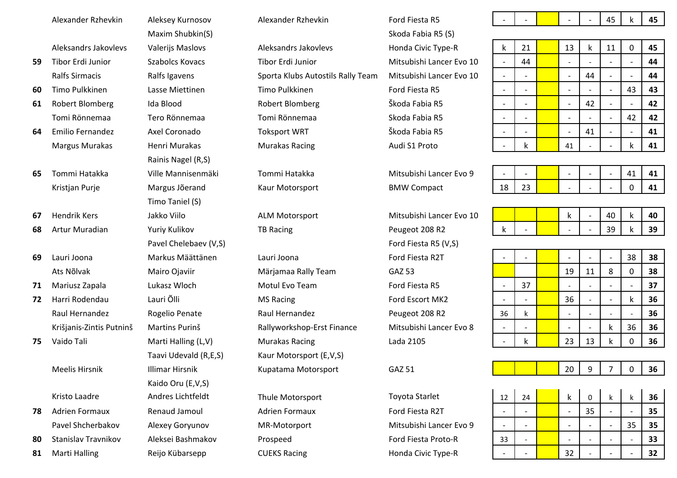|    | Alexander Rzhevkin    | Aleksey Kurnosov            | Alexander Rzhevkin                                                                                                                                                                                                                                                                                             | Ford Fiesta R5                                                                          |                          |                          | $\overline{\phantom{0}}$ |    | 45 |          | 45   |
|----|-----------------------|-----------------------------|----------------------------------------------------------------------------------------------------------------------------------------------------------------------------------------------------------------------------------------------------------------------------------------------------------------|-----------------------------------------------------------------------------------------|--------------------------|--------------------------|--------------------------|----|----|----------|------|
|    |                       | Maxim Shubkin(S)            |                                                                                                                                                                                                                                                                                                                | Skoda Fabia R5 (S)                                                                      |                          |                          |                          |    |    |          |      |
|    | Aleksandrs Jakovlevs  | Valerijs Maslovs            | Aleksandrs Jakovlevs                                                                                                                                                                                                                                                                                           | Honda Civic Type-R                                                                      | k                        | 21                       | 13                       | k. | 11 | $\Omega$ | 45   |
| 59 | Tibor Erdi Junior     | Szabolcs Kovacs             | Tibor Erdi Junior                                                                                                                                                                                                                                                                                              | Mitsubishi Lancer Evo 10                                                                | $\overline{\phantom{a}}$ | 44                       | $\overline{\phantom{a}}$ |    |    |          | 44   |
|    | <b>Ralfs Sirmacis</b> | Ralfs Igavens               | Sporta Klubs Autostils Rally Team                                                                                                                                                                                                                                                                              | Mitsubishi Lancer Evo 10                                                                |                          |                          | $\overline{\phantom{a}}$ | 44 |    |          | 44   |
| 60 | Timo Pulkkinen        | Lasse Miettinen             | Timo Pulkkinen                                                                                                                                                                                                                                                                                                 | Ford Fiesta R5                                                                          | $\overline{\phantom{a}}$ | $\overline{\phantom{a}}$ | $\overline{\phantom{a}}$ |    |    | 43       | 43   |
| 61 | Robert Blomberg       | Ida Blood                   | Robert Blomberg                                                                                                                                                                                                                                                                                                | Škoda Fabia R5                                                                          | $\overline{\phantom{a}}$ |                          | $\overline{\phantom{a}}$ | 42 |    |          | 42   |
|    | Tomi Rönnemaa         | Tero Rönnemaa               | Tomi Rönnemaa                                                                                                                                                                                                                                                                                                  | Skoda Fabia R5                                                                          | $\overline{\phantom{a}}$ |                          | $\overline{\phantom{0}}$ |    |    | 42       | 42   |
| 64 | Emilio Fernandez      | Axel Coronado               | <b>Toksport WRT</b>                                                                                                                                                                                                                                                                                            | Škoda Fabia R5                                                                          | $\overline{\phantom{a}}$ | $\overline{\phantom{a}}$ | $\overline{\phantom{a}}$ | 41 |    |          | 41   |
|    | Margus Murakas        | Henri Murakas               | <b>Murakas Racing</b>                                                                                                                                                                                                                                                                                          | Audi S1 Proto                                                                           |                          | k                        | 41                       |    |    |          | 41   |
|    |                       | Rainis Nagel (R,S)          |                                                                                                                                                                                                                                                                                                                |                                                                                         |                          |                          |                          |    |    |          |      |
| 65 | Tommi Hatakka         | Ville Mannisenmäki          | Tommi Hatakka                                                                                                                                                                                                                                                                                                  | Mitsubishi Lancer Evo 9                                                                 |                          |                          |                          |    |    | 41       | 41   |
|    | $\mathbf{1}$          | $0.1 - 0.0 - 1.2 - 0.0 - 1$ | $1/\sqrt{2}$ and $\sqrt{2}$ $\sqrt{2}$ $\sqrt{2}$ $\sqrt{2}$ $\sqrt{2}$ $\sqrt{2}$ $\sqrt{2}$ $\sqrt{2}$ $\sqrt{2}$ $\sqrt{2}$ $\sqrt{2}$ $\sqrt{2}$ $\sqrt{2}$ $\sqrt{2}$ $\sqrt{2}$ $\sqrt{2}$ $\sqrt{2}$ $\sqrt{2}$ $\sqrt{2}$ $\sqrt{2}$ $\sqrt{2}$ $\sqrt{2}$ $\sqrt{2}$ $\sqrt{2}$ $\sqrt{2}$ $\sqrt{2}$ | $P_{1}$ $P_{2}$ $P_{3}$ $P_{4}$ $P_{5}$ $P_{6}$ $P_{7}$ $P_{8}$ $P_{9}$ $P_{1}$ $P_{1}$ | $\sim$                   | $\mathcal{L}$            |                          |    |    | $\sim$   | - 44 |

Timo Taniel (S)

Pavel Chelebaev (V,S)

Kaido Oru (E,V,S)

**67**

- **68**
- **69**
- **71**
- **72**
- **75**

- **78**
- **80**
- **81**

Ats Nõlvak Mairo Ojaviir Märjamaa Rally Team GAZ 53Raul Hernandez Rogelio Penate Raul Hernandez Raul Hernandez Peugeot 208 R2 Krišjanis-Zintis Putninš Martins Purinš Rallyworkshop-Erst Finance Mitsubishi Lancer Evo 8 Taavi Udevald (R,E,S) Kaur Motorsport (E,V,S) Meelis Hirsnik **Illimar Hirsnik Music Alexandric Canadia** Kupatama Motorsport GAZ 51

Kristjan Purje Margus Jõerand Kaur Motorsport BMW Compact <u> 18 | 23</u>

Ford Fiesta R5 (V,S)

|--|

| 45 | $\mathbf 0$              | 11 | k  | 13 | 21 | k |
|----|--------------------------|----|----|----|----|---|
| 44 |                          |    |    |    | 44 |   |
| 44 |                          |    | 44 |    |    |   |
| 43 | 43                       |    |    |    |    |   |
| 42 |                          |    | 42 |    |    |   |
| 42 | 42                       |    |    |    |    |   |
| 41 | $\overline{\phantom{a}}$ | -  | 41 | -  | -  |   |
| 41 | k                        |    |    | 41 | k  |   |

|    |     |  | $\overline{\phantom{0}}$ | 41 |
|----|-----|--|--------------------------|----|
| 18 | າ າ |  |                          |    |

| Hendrik Kers   | Jakko Viilo   | <b>ALM Motorsport</b> | Mitsubishi Lancer Evo 10 |              |  | K. | $\overline{10}$<br>,,, | 40 |
|----------------|---------------|-----------------------|--------------------------|--------------|--|----|------------------------|----|
| Artur Muradian | Yuriy Kulikov | TB Racing             | Peugeot 208 R2           | $\mathbf{v}$ |  |    | $\sim$<br>--           | ാവ |

| Lauri Joona              | Markus Määttänen    | Lauri Joona                | Ford Fiesta R2T         |    |    |    |    |   | 38 | 38 |
|--------------------------|---------------------|----------------------------|-------------------------|----|----|----|----|---|----|----|
| Ats Nõlvak               | Mairo Ojaviir       | Märjamaa Rally Team        | GAZ 53                  |    |    | 19 | 11 | 8 |    | 38 |
| Mariusz Zapala           | Lukasz Wloch        | Motul Evo Team             | Ford Fiesta R5          |    | 37 |    |    |   |    | 37 |
| Harri Rodendau           | Lauri Õlli          | <b>MS Racing</b>           | Ford Escort MK2         |    |    | 36 |    |   |    | 36 |
| Raul Hernandez           | Rogelio Penate      | Raul Hernandez             | Peugeot 208 R2          | 36 |    |    |    |   |    | 36 |
| Krišjanis-Zintis Putninš | Martins Purinš      | Rallyworkshop-Erst Finance | Mitsubishi Lancer Evo 8 |    |    |    |    |   | 36 | 36 |
| Vaido Tali               | Marti Halling (L,V) | <b>Murakas Racing</b>      | Lada 2105               |    |    | 23 | 13 |   |    | 36 |
|                          |                     |                            |                         |    |    |    |    |   |    |    |

| -- |  |  |  |  |
|----|--|--|--|--|
|    |  |  |  |  |

|                     | .                 |                       |                         |                          |                          |                          |    |  |    |
|---------------------|-------------------|-----------------------|-------------------------|--------------------------|--------------------------|--------------------------|----|--|----|
| Kristo Laadre       | Andres Lichtfeldt | Thule Motorsport      | Toyota Starlet          |                          | 24                       |                          |    |  | 36 |
| Adrien Formaux      | Renaud Jamoul     | <b>Adrien Formaux</b> | Ford Fiesta R2T         | $\overline{\phantom{0}}$ | $\overline{\phantom{0}}$ | $\overline{\phantom{a}}$ | 35 |  | 35 |
| Pavel Shcherbakov   | Alexey Goryunov   | MR-Motorport          | Mitsubishi Lancer Evo 9 |                          |                          |                          |    |  | 35 |
| Stanislav Travnikov | Aleksei Bashmakov | Prospeed              | Ford Fiesta Proto-R     | 33                       |                          |                          |    |  | 33 |
| Marti Halling       | Reijo Kübarsepp   | <b>CUEKS Racing</b>   | Honda Civic Type-R      |                          | $\overline{\phantom{0}}$ | 32                       |    |  | 32 |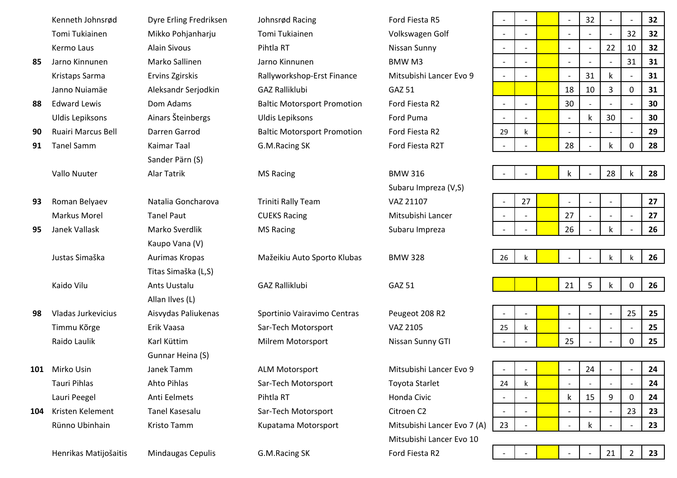|     | Kenneth Johnsrød          | Dyre Erling Fredriksen | Johnsrød Racing                    | Ford Fiesta R5              | $\overline{\phantom{a}}$ |    | $\overline{\phantom{a}}$ | 32             |                          |             | 32 |
|-----|---------------------------|------------------------|------------------------------------|-----------------------------|--------------------------|----|--------------------------|----------------|--------------------------|-------------|----|
|     | Tomi Tukiainen            | Mikko Pohjanharju      | Tomi Tukiainen                     | Volkswagen Golf             | $\overline{\phantom{a}}$ |    | $\overline{\phantom{a}}$ |                | $\overline{\phantom{a}}$ | 32          | 32 |
|     | Kermo Laus                | <b>Alain Sivous</b>    | Pihtla RT                          | Nissan Sunny                | $\overline{\phantom{a}}$ |    | $\overline{\phantom{a}}$ |                | 22                       | 10          | 32 |
| 85  | Jarno Kinnunen            | Marko Sallinen         | Jarno Kinnunen                     | <b>BMWM3</b>                | $\overline{\phantom{a}}$ |    | $\overline{\phantom{a}}$ |                |                          | 31          | 31 |
|     | Kristaps Sarma            | Ervins Zgirskis        | Rallyworkshop-Erst Finance         | Mitsubishi Lancer Evo 9     | $\overline{\phantom{a}}$ |    |                          | 31             | k                        |             | 31 |
|     | Janno Nuiamäe             | Aleksandr Serjodkin    | GAZ Ralliklubi                     | GAZ 51                      |                          |    | 18                       | 10             | $\overline{3}$           | 0           | 31 |
| 88  | <b>Edward Lewis</b>       | Dom Adams              | <b>Baltic Motorsport Promotion</b> | Ford Fiesta R2              | $\overline{\phantom{a}}$ |    | 30                       |                |                          |             | 30 |
|     | <b>Uldis Lepiksons</b>    | Ainars Šteinbergs      | <b>Uldis Lepiksons</b>             | Ford Puma                   |                          |    |                          | k              | 30                       |             | 30 |
| 90  | <b>Ruairi Marcus Bell</b> | Darren Garrod          | <b>Baltic Motorsport Promotion</b> | Ford Fiesta R2              | 29                       |    |                          |                |                          |             | 29 |
| 91  | <b>Tanel Samm</b>         | <b>Kaimar Taal</b>     | G.M.Racing SK                      | Ford Fiesta R2T             |                          |    | 28                       |                | $\mathsf k$              | 0           | 28 |
|     |                           | Sander Pärn (S)        |                                    |                             |                          |    |                          |                |                          |             |    |
|     | Vallo Nuuter              | Alar Tatrik            | <b>MS Racing</b>                   | <b>BMW 316</b>              |                          |    | $\mathsf{k}$             |                | 28                       | k.          | 28 |
|     |                           |                        |                                    | Subaru Impreza (V,S)        |                          |    |                          |                |                          |             |    |
| 93  | Roman Belyaev             | Natalia Goncharova     | <b>Triniti Rally Team</b>          | VAZ 21107                   | $\overline{\phantom{a}}$ | 27 | $\overline{\phantom{a}}$ |                |                          |             | 27 |
|     | <b>Markus Morel</b>       | <b>Tanel Paut</b>      | <b>CUEKS Racing</b>                | Mitsubishi Lancer           | $\overline{\phantom{a}}$ |    | 27                       |                |                          |             | 27 |
| 95  | Janek Vallask             | Marko Sverdlik         | <b>MS Racing</b>                   | Subaru Impreza              |                          |    | 26                       |                | $\mathsf k$              |             | 26 |
|     |                           | Kaupo Vana (V)         |                                    |                             |                          |    |                          |                |                          |             |    |
|     | Justas Simaška            | Aurimas Kropas         | Mažeikiu Auto Sporto Klubas        | <b>BMW 328</b>              | 26                       |    |                          |                | k                        | k           | 26 |
|     |                           | Titas Simaška (L,S)    |                                    |                             |                          |    |                          |                |                          |             |    |
|     | Kaido Vilu                | Ants Uustalu           | <b>GAZ Ralliklubi</b>              | GAZ 51                      |                          |    | 21                       | 5 <sup>1</sup> | k                        | $\mathbf 0$ | 26 |
|     |                           | Allan Ilves (L)        |                                    |                             |                          |    |                          |                |                          |             |    |
| 98  | Vladas Jurkevicius        | Aisvydas Paliukenas    | Sportinio Vairavimo Centras        | Peugeot 208 R2              | $\overline{\phantom{a}}$ |    | $\sim$                   |                | $\overline{\phantom{a}}$ | 25          | 25 |
|     | Timmu Kõrge               | Erik Vaasa             | Sar-Tech Motorsport                | VAZ 2105                    | 25                       |    |                          |                |                          |             | 25 |
|     | Raido Laulik              | Karl Küttim            | Milrem Motorsport                  | Nissan Sunny GTI            | $\overline{\phantom{a}}$ |    | 25                       |                |                          | 0           | 25 |
|     |                           | Gunnar Heina (S)       |                                    |                             |                          |    |                          |                |                          |             |    |
|     | 101 Mirko Usin            | Janek Tamm             | <b>ALM Motorsport</b>              | Mitsubishi Lancer Evo 9     |                          |    | $\overline{\phantom{a}}$ | 24             |                          |             | 24 |
|     | <b>Tauri Pihlas</b>       | Ahto Pihlas            | Sar-Tech Motorsport                | <b>Toyota Starlet</b>       | 24                       | k  |                          |                |                          |             | 24 |
|     | Lauri Peegel              | Anti Eelmets           | Pihtla RT                          | Honda Civic                 |                          |    | k                        | 15             | 9                        | 0           | 24 |
| 104 | Kristen Kelement          | Tanel Kasesalu         | Sar-Tech Motorsport                | Citroen C2                  |                          |    |                          |                |                          | 23          | 23 |
|     | Rünno Ubinhain            | Kristo Tamm            | Kupatama Motorsport                | Mitsubishi Lancer Evo 7 (A) | 23                       |    |                          | k              |                          |             | 23 |
|     |                           |                        |                                    | Mitsubishi Lancer Evo 10    |                          |    |                          |                |                          |             |    |

Henrikas Matijošaitis Mindaugas Cepulis G.M.Racing SK Ford Fiesta R2

Е

|  |  |  | っっ |
|--|--|--|----|

**<sup>32</sup>**

**<sup>32</sup>**

**<sup>25</sup>**

**<sup>24</sup>**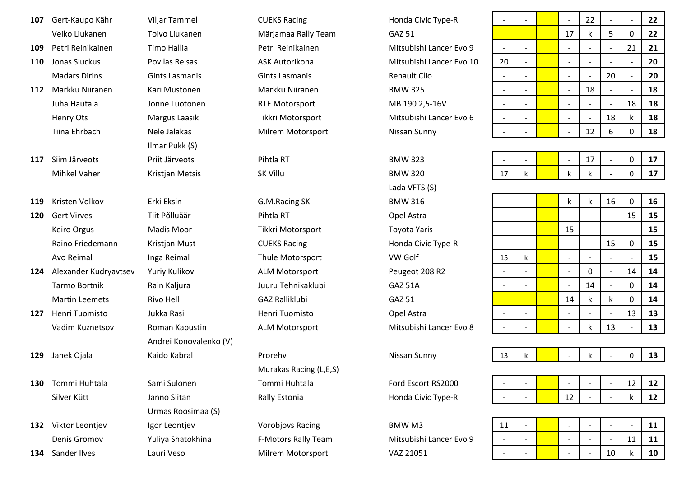|     | 107 Gert-Kaupo Kähr      |
|-----|--------------------------|
|     | Veiko Liukanen           |
| 109 | Petri Reinikainen        |
|     | <b>110</b> Jonas Sluckus |
|     | Madars Dirins            |
|     |                          |

- 112 Markku Niiranen
- **117**
- **119**
- **120124** Alexander Kudryavtsev
- **127**
- **129**
- **130**
- 132 Viktor Leontiev 134 Sander Ilves

Ilmar Pukk (S)

Martin Leemets Rivo Hell GAZ Ralliklubi GAZ 51Andrei Konovalenko (V)

Urmas Roosimaa (S)

Murakas Racing (L,E,S)

Mihkel Vaher Kristjan Metsis SK Villu BMW 320Lada VFTS (S)

| Gert-Kaupo Kähr        | Viljar Tammel  | <b>CUEKS Racing</b>   | Honda Civic Type-R       |                          |                          | <b>.</b>                 | 22 |                          |    | 22 |
|------------------------|----------------|-----------------------|--------------------------|--------------------------|--------------------------|--------------------------|----|--------------------------|----|----|
| Veiko Liukanen         | Toivo Liukanen | Märjamaa Rally Team   | <b>GAZ 51</b>            |                          |                          | 17                       |    |                          |    | 22 |
| 9 Petri Reinikainen    | Timo Hallia    | Petri Reinikainen     | Mitsubishi Lancer Evo 9  |                          |                          |                          |    | $\overline{\phantom{a}}$ | 21 | 21 |
| <b>0</b> Jonas Sluckus | Povilas Reisas | ASK Autorikona        | Mitsubishi Lancer Evo 10 | 20                       |                          |                          |    |                          |    | 20 |
| <b>Madars Dirins</b>   | Gints Lasmanis | Gints Lasmanis        | Renault Clio             |                          | $\overline{\phantom{0}}$ | $\overline{\phantom{0}}$ |    | 20                       |    | 20 |
| Markku Niiranen        | Kari Mustonen  | Markku Niiranen       | <b>BMW 325</b>           |                          |                          | $\overline{\phantom{0}}$ | 18 |                          |    | 18 |
| Juha Hautala           | Jonne Luotonen | <b>RTE Motorsport</b> | MB 190 2,5-16V           |                          |                          |                          |    | $\overline{\phantom{0}}$ | 18 | 18 |
| Henry Ots              | Margus Laasik  | Tikkri Motorsport     | Mitsubishi Lancer Evo 6  | $\overline{\phantom{0}}$ |                          |                          |    | 18                       |    | 18 |
| Tiina Ehrbach          | Nele Jalakas   | Milrem Motorsport     | Nissan Sunny             |                          |                          |                          | 12 | 6                        |    | 18 |
|                        |                |                       |                          |                          |                          |                          |    |                          |    |    |

| Siim<br>$\cdots$<br>larvent<br>こしい | Priit<br>`Järveots          | Pihtla RT | $\cap$<br><b>BMW</b><br>32. |              |  | $\sim$ $-$<br>- |  |  |
|------------------------------------|-----------------------------|-----------|-----------------------------|--------------|--|-----------------|--|--|
| Mihkel<br>-Vaher                   | <sup>"</sup> ristian Metsis | ิ K Villu | <b>BMW 320</b>              | $\mathbf{v}$ |  |                 |  |  |

| 9 Kristen Volkov        | Erki Eksin     | G.M.Racing SK         | <b>BMW 316</b>          |    |   | K.                       | k        | 16 | $\Omega$                 | 16 |
|-------------------------|----------------|-----------------------|-------------------------|----|---|--------------------------|----------|----|--------------------------|----|
| <b>0</b> Gert Virves    | Tiit Põlluäär  | Pihtla RT             | Opel Astra              |    |   |                          |          |    | 15                       | 15 |
| <b>Keiro Orgus</b>      | Madis Moor     | Tikkri Motorsport     | Toyota Yaris            |    |   | 15                       |          |    | $\overline{\phantom{0}}$ | 15 |
| Raino Friedemann        | Kristjan Must  | <b>CUEKS Racing</b>   | Honda Civic Type-R      |    |   |                          |          | 15 | 0                        | 15 |
| Avo Reimal              | Inga Reimal    | Thule Motorsport      | VW Golf                 | 15 | k |                          |          |    | $\overline{\phantom{a}}$ | 15 |
| 4 Alexander Kudryavtsev | Yuriy Kulikov  | <b>ALM Motorsport</b> | Peugeot 208 R2          |    |   | $\overline{\phantom{0}}$ | $\Omega$ |    | 14                       | 14 |
| Tarmo Bortnik           | Rain Kaljura   | Juuru Tehnikaklubi    | GAZ 51A                 |    |   |                          | 14       |    | $\mathbf 0$              | 14 |
| <b>Martin Leemets</b>   | Rivo Hell      | <b>GAZ Ralliklubi</b> | GAZ 51                  |    |   | 14                       | k        | k  | $\Omega$                 | 14 |
| Henri Tuomisto          | Jukka Rasi     | Henri Tuomisto        | Opel Astra              |    |   |                          |          |    | 13                       | 13 |
| Vadim Kuznetsov         | Roman Kapustin | <b>ALM Motorsport</b> | Mitsubishi Lancer Evo 8 |    |   |                          | k        | 13 |                          | 13 |
|                         |                |                       |                         |    |   |                          |          |    |                          |    |

| $\overline{\phantom{a}}$ | Janek<br>)iala | Kaido<br>ר Kabral | rorehv<br>◡ | Nissan<br>Sunny | -<br>--- |  |  |  | $\sim$<br>. |
|--------------------------|----------------|-------------------|-------------|-----------------|----------|--|--|--|-------------|
|                          |                |                   |             |                 |          |  |  |  |             |

| Tommi Huhtala | Sami Sulonen | <sup>r</sup> ommi Huhtala | Ford Escort RS2000 |  |    |  | -- | $\sim$<br>-- |
|---------------|--------------|---------------------------|--------------------|--|----|--|----|--------------|
| Silver Kütt   | Janno Siitan | Rally Estonia             | Honda Civic Type-R |  | -- |  |    |              |
|               |              |                           |                    |  |    |  |    |              |

| Viktor Leontjev | Igor Leontjev     | <b>Vorobjovs Racing</b> | BMW M3                  | ᆠ |  |  |  | 11<br>ᆠᆂ |
|-----------------|-------------------|-------------------------|-------------------------|---|--|--|--|----------|
| Denis Gromov    | Yuliya Shatokhina | -Motors Rally Team      | Mitsubishi Lancer Evo 9 |   |  |  |  |          |
| Sander Ilves    | Lauri Veso        | Milrem Motorsport       | VAZ 21051               |   |  |  |  | 10       |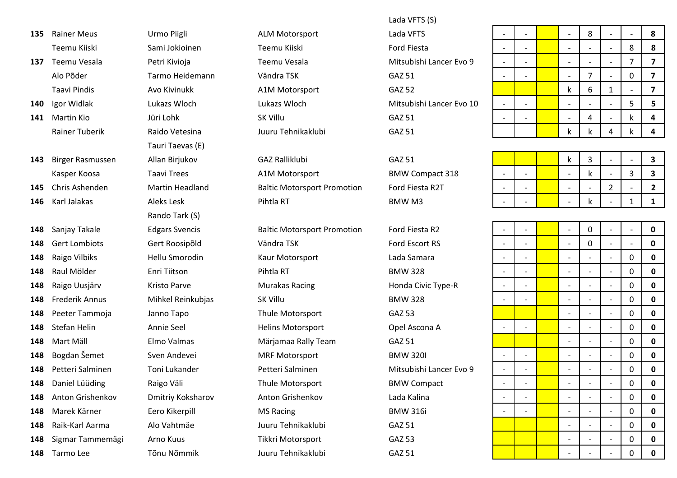### **135**

- 137 Teemu Vesala
- **140**
- **141**
- **143**
- **145**
- **146**
- **148148148148148148148148148148148148148148148**

**148**

**148**

Taavi Pindis Avo Kivinukk A1M Motorsport GAZ 52 Rainer Tuberik Raido Vetesina Juuru Tehnikaklubi GAZ 51Tauri Taevas (E)Rando Tark (S)

### Lada VFTS (S)

- 
- 

| 5 Rainer Meus  | Urmo Piigli     | <b>ALM Motorsport</b> | Lada VFTS                |  | $\overline{\phantom{0}}$ | 8 | $\overline{\phantom{0}}$ |    | 8 |
|----------------|-----------------|-----------------------|--------------------------|--|--------------------------|---|--------------------------|----|---|
| Teemu Kiiski   | Sami Jokioinen  | Teemu Kiiski          | Ford Fiesta              |  |                          |   | $\overline{\phantom{0}}$ | -8 | 8 |
| Teemu Vesala   | Petri Kivioja   | Teemu Vesala          | Mitsubishi Lancer Evo 9  |  |                          |   |                          |    |   |
| Alo Põder      | Tarmo Heidemann | Vändra TSK            | GAZ 51                   |  | $\overline{\phantom{0}}$ |   | $\overline{\phantom{0}}$ |    |   |
| Taavi Pindis   | Avo Kivinukk    | A1M Motorsport        | <b>GAZ 52</b>            |  | k.                       | 6 |                          |    |   |
| 0 Igor Widlak  | Lukazs Wloch    | Lukazs Wloch          | Mitsubishi Lancer Evo 10 |  |                          |   |                          |    |   |
| 1 Martin Kio   | Jüri Lohk       | SK Villu              | GAZ 51                   |  |                          |   |                          |    |   |
| Rainer Tuberik | Raido Vetesina  | Juuru Tehnikaklubi    | GAZ 51                   |  | k                        |   |                          |    |   |
|                |                 |                       |                          |  |                          |   |                          |    |   |

| Birger Rasmussen | Allan Birjukov         | <b>GAZ Ralliklubi</b>              | <b>GAZ 51</b>          |  |                          |  |  |
|------------------|------------------------|------------------------------------|------------------------|--|--------------------------|--|--|
| Kasper Koosa     | <b>Taavi Trees</b>     | A1M Motorsport                     | <b>BMW Compact 318</b> |  |                          |  |  |
| Chris Ashenden   | <b>Martin Headland</b> | <b>Baltic Motorsport Promotion</b> | Ford Fiesta R2T        |  | $\overline{\phantom{0}}$ |  |  |
| Karl Jalakas     | Aleks Lesk             | Pihtla RT                          | BMW M3                 |  |                          |  |  |

| 8 Sanjay Takale    | <b>Edgars Svencis</b> | <b>Baltic Motorsport Promotion</b> | Ford Fiesta R2          | $\overline{\phantom{a}}$ |  | $\overline{\phantom{a}}$ | 0 | $\overline{\phantom{a}}$ |          | $\mathbf{0}$ |
|--------------------|-----------------------|------------------------------------|-------------------------|--------------------------|--|--------------------------|---|--------------------------|----------|--------------|
| 8 Gert Lombiots    | Gert Roosipõld        | Vändra TSK                         | Ford Escort RS          | $\overline{\phantom{0}}$ |  | $\overline{\phantom{a}}$ | 0 |                          |          | $\Omega$     |
| 8 Raigo Vilbiks    | Hellu Smorodin        | Kaur Motorsport                    | Lada Samara             |                          |  |                          |   |                          | 0        | 0            |
| 8 Raul Mölder      | Enri Tiitson          | Pihtla RT                          | <b>BMW 328</b>          | $\overline{\phantom{a}}$ |  | $\overline{\phantom{0}}$ |   | $\overline{\phantom{a}}$ | 0        | 0            |
| 8 Raigo Uusjärv    | Kristo Parve          | <b>Murakas Racing</b>              | Honda Civic Type-R      | $\overline{\phantom{a}}$ |  | $\overline{\phantom{0}}$ |   | $\overline{\phantom{a}}$ | 0        | 0            |
| 8 Frederik Annus   | Mihkel Reinkubjas     | SK Villu                           | <b>BMW 328</b>          |                          |  |                          |   | $\overline{\phantom{0}}$ | $\Omega$ | 0            |
| 8 Peeter Tammoja   | Janno Tapo            | Thule Motorsport                   | <b>GAZ 53</b>           |                          |  |                          |   | $\overline{\phantom{a}}$ | 0        | 0            |
| 8 Stefan Helin     | Annie Seel            | <b>Helins Motorsport</b>           | Opel Ascona A           |                          |  | $\overline{\phantom{0}}$ |   | $\overline{\phantom{a}}$ | 0        | 0            |
| 8 Mart Mäll        | Elmo Valmas           | Märjamaa Rally Team                | GAZ 51                  |                          |  |                          |   |                          | 0        | 0            |
| 8 Bogdan Šemet     | Sven Andevei          | <b>MRF Motorsport</b>              | <b>BMW 320I</b>         | $\overline{\phantom{0}}$ |  | $\overline{\phantom{a}}$ |   | $\overline{\phantom{a}}$ | 0        | 0            |
| 8 Petteri Salminen | Toni Lukander         | Petteri Salminen                   | Mitsubishi Lancer Evo 9 | $\overline{\phantom{a}}$ |  | $\overline{\phantom{a}}$ |   | $\overline{\phantom{a}}$ | 0        | 0            |
| 8 Daniel Lüüding   | Raigo Väli            | Thule Motorsport                   | <b>BMW Compact</b>      |                          |  |                          |   | $\overline{\phantom{a}}$ | 0        | 0            |
| 8 Anton Grishenkov | Dmitriy Koksharov     | Anton Grishenkov                   | Lada Kalina             |                          |  | $\overline{\phantom{0}}$ |   |                          | 0        | $\mathbf 0$  |
| 8 Marek Kärner     | Eero Kikerpill        | <b>MS Racing</b>                   | <b>BMW 316i</b>         |                          |  | $\overline{\phantom{a}}$ |   | $\overline{\phantom{a}}$ | 0        | 0            |
| 8 Raik-Karl Aarma  | Alo Vahtmäe           | Juuru Tehnikaklubi                 | GAZ 51                  |                          |  |                          |   | $\overline{\phantom{a}}$ | 0        | 0            |
| 8 Sigmar Tammemägi | Arno Kuus             | Tikkri Motorsport                  | GAZ 53                  |                          |  | $\overline{\phantom{a}}$ |   | $\overline{\phantom{a}}$ | 0        | 0            |
| 8 Tarmo Lee        | Tõnu Nõmmik           | Juuru Tehnikaklubi                 | GAZ 51                  |                          |  | $\overline{\phantom{0}}$ |   |                          | 0        | 0            |
|                    |                       |                                    |                         |                          |  |                          |   |                          |          |              |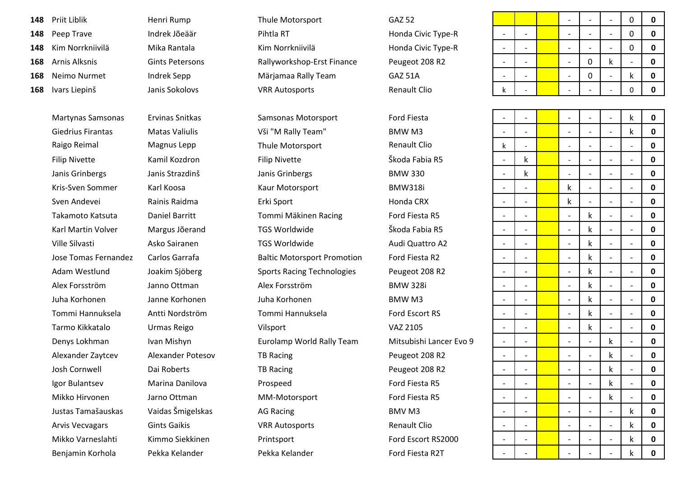**148148148168168168**

| 8 Priit Liblik     | Henri Rump             | Thule Motorsport           | <b>GAZ 52</b>      |                          |                          | $\overline{\phantom{0}}$ |   | $\overline{\phantom{a}}$ | 0 | 0 |
|--------------------|------------------------|----------------------------|--------------------|--------------------------|--------------------------|--------------------------|---|--------------------------|---|---|
| 8 Peep Trave       | Indrek Jõeäär          | Pihtla RT                  | Honda Civic Type-R | $\overline{\phantom{0}}$ | $\overline{\phantom{0}}$ |                          |   | $\overline{\phantom{0}}$ | 0 | 0 |
| 8 Kim Norrkniivilä | Mika Rantala           | Kim Norrkniivilä           | Honda Civic Type-R | <b>_</b>                 | $\overline{\phantom{0}}$ | $\overline{\phantom{0}}$ |   | $\overline{\phantom{0}}$ | 0 | 0 |
| 8 Arnis Alksnis    | <b>Gints Petersons</b> | Rallyworkshop-Erst Finance | Peugeot 208 R2     |                          |                          |                          | 0 | k                        |   |   |
| 8 Neimo Nurmet     | Indrek Sepp            | Märjamaa Rally Team        | GAZ 51A            | -                        |                          | $\overline{\phantom{0}}$ |   | $\overline{\phantom{a}}$ |   |   |
| 8 Ivars Liepinš    | Janis Sokolovs         | <b>VRR Autosports</b>      | Renault Clio       |                          |                          |                          |   |                          |   |   |
|                    |                        |                            |                    |                          |                          |                          |   |                          |   |   |
| Martynas Samsonas  | Ervinas Snitkas        | Samsonas Motorsport        | Ford Fiesta        | $\overline{\phantom{0}}$ |                          | $\overline{\phantom{0}}$ |   | $\overline{\phantom{a}}$ |   | n |

| Martynas Samsonas      | Ervinas Snitkas          | Samsonas Motorsport                | Ford Fiesta             |                          |    |                          |   |   | 0 |
|------------------------|--------------------------|------------------------------------|-------------------------|--------------------------|----|--------------------------|---|---|---|
| Giedrius Firantas      | <b>Matas Valiulis</b>    | Vši "M Rally Team"                 | BMW M3                  |                          |    |                          |   |   | 0 |
| Raigo Reimal           | Magnus Lepp              | Thule Motorsport                   | <b>Renault Clio</b>     | k                        |    |                          |   |   | 0 |
| <b>Filip Nivette</b>   | Kamil Kozdron            | <b>Filip Nivette</b>               | Škoda Fabia R5          |                          |    |                          |   |   | 0 |
| Janis Grinbergs        | Janis Strazdinš          | Janis Grinbergs                    | <b>BMW 330</b>          | $\overline{\phantom{a}}$ | k. |                          |   |   | 0 |
| Kris-Sven Sommer       | Karl Koosa               | Kaur Motorsport                    | <b>BMW318i</b>          |                          |    | k                        |   |   | 0 |
| Sven Andevei           | Rainis Raidma            | Erki Sport                         | Honda CRX               |                          |    | k                        |   |   | 0 |
| Takamoto Katsuta       | <b>Daniel Barritt</b>    | Tommi Mäkinen Racing               | Ford Fiesta R5          | $-$                      |    |                          |   |   | 0 |
| Karl Martin Volver     | Margus Jõerand           | <b>TGS Worldwide</b>               | Škoda Fabia R5          | $\overline{\phantom{a}}$ |    | $\overline{\phantom{0}}$ | k |   | 0 |
| Ville Silvasti         | Asko Sairanen            | <b>TGS Worldwide</b>               | Audi Quattro A2         | $\overline{\phantom{a}}$ |    |                          |   |   | 0 |
| Jose Tomas Fernandez   | Carlos Garrafa           | <b>Baltic Motorsport Promotion</b> | Ford Fiesta R2          | $\overline{\phantom{a}}$ |    | $\overline{\phantom{a}}$ | k |   | 0 |
| Adam Westlund          | Joakim Sjöberg           | <b>Sports Racing Technologies</b>  | Peugeot 208 R2          | $\overline{\phantom{a}}$ |    |                          | k |   | 0 |
| Alex Forsström         | Janno Ottman             | Alex Forsström                     | <b>BMW 328i</b>         | $\overline{\phantom{0}}$ |    | $\overline{\phantom{a}}$ |   |   | 0 |
| Juha Korhonen          | Janne Korhonen           | Juha Korhonen                      | BMW M3                  | $\overline{\phantom{0}}$ |    |                          |   |   | 0 |
| Tommi Hannuksela       | Antti Nordström          | Tommi Hannuksela                   | Ford Escort RS          | $\overline{\phantom{0}}$ |    |                          | k |   | 0 |
| Tarmo Kikkatalo        | Urmas Reigo              | Vilsport                           | VAZ 2105                | $\overline{\phantom{0}}$ |    |                          |   |   | 0 |
| Denys Lokhman          | Ivan Mishyn              | Eurolamp World Rally Team          | Mitsubishi Lancer Evo 9 | $\overline{\phantom{0}}$ |    | $\overline{\phantom{a}}$ |   | k | 0 |
| Alexander Zaytcev      | <b>Alexander Potesov</b> | <b>TB Racing</b>                   | Peugeot 208 R2          |                          |    |                          |   | k | 0 |
| Josh Cornwell          | Dai Roberts              | <b>TB Racing</b>                   | Peugeot 208 R2          | $\overline{\phantom{a}}$ |    |                          |   | k | 0 |
| Igor Bulantsev         | Marina Danilova          | Prospeed                           | Ford Fiesta R5          |                          |    |                          |   | k | 0 |
| Mikko Hirvonen         | Jarno Ottman             | MM-Motorsport                      | Ford Fiesta R5          | $\overline{\phantom{a}}$ |    |                          |   | k | 0 |
| Justas Tamašauskas     | Vaidas Šmigelskas        | <b>AG Racing</b>                   | <b>BMVM3</b>            |                          |    |                          |   |   | 0 |
| <b>Arvis Vecvagars</b> | <b>Gints Gaikis</b>      | <b>VRR Autosports</b>              | <b>Renault Clio</b>     |                          |    |                          |   |   | 0 |
| Mikko Varneslahti      | Kimmo Siekkinen          | Printsport                         | Ford Escort RS2000      |                          |    |                          |   |   | 0 |
| Benjamin Korhola       | Pekka Kelander           | Pekka Kelander                     | Ford Fiesta R2T         |                          |    |                          |   |   | 0 |
|                        |                          |                                    |                         |                          |    |                          |   |   |   |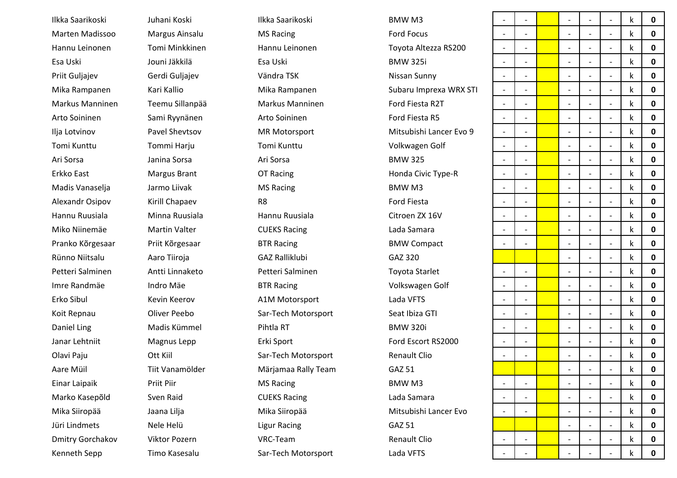| Ilkka Saarikoski | Juhani Koski         | Ilkka Saarikoski       | <b>BMWM3</b>            |                          |  |                          |  | $\mathsf k$ | 0            |
|------------------|----------------------|------------------------|-------------------------|--------------------------|--|--------------------------|--|-------------|--------------|
| Marten Madissoo  | Margus Ainsalu       | <b>MS Racing</b>       | <b>Ford Focus</b>       |                          |  |                          |  | k           | 0            |
| Hannu Leinonen   | Tomi Minkkinen       | Hannu Leinonen         | Toyota Altezza RS200    |                          |  |                          |  | k           | 0            |
| Esa Uski         | Jouni Jäkkilä        | Esa Uski               | <b>BMW 325i</b>         | $-$                      |  |                          |  | k           | 0            |
| Priit Guljajev   | Gerdi Guljajev       | Vändra TSK             | Nissan Sunny            | $-$                      |  | $\overline{\phantom{a}}$ |  | k           | 0            |
| Mika Rampanen    | Kari Kallio          | Mika Rampanen          | Subaru Imprexa WRX STI  | $-$                      |  |                          |  | k           | 0            |
| Markus Manninen  | Teemu Sillanpää      | <b>Markus Manninen</b> | Ford Fiesta R2T         | $\overline{\phantom{a}}$ |  | $\overline{\phantom{a}}$ |  | k           | 0            |
| Arto Soininen    | Sami Ryynänen        | Arto Soininen          | Ford Fiesta R5          | $\overline{\phantom{a}}$ |  |                          |  | k           | 0            |
| Ilja Lotvinov    | Pavel Shevtsov       | <b>MR Motorsport</b>   | Mitsubishi Lancer Evo 9 | $\overline{\phantom{a}}$ |  |                          |  | k           | 0            |
| Tomi Kunttu      | Tommi Harju          | Tomi Kunttu            | Volkwagen Golf          | $\overline{\phantom{a}}$ |  |                          |  | k           | 0            |
| Ari Sorsa        | Janina Sorsa         | Ari Sorsa              | <b>BMW 325</b>          | $\overline{\phantom{a}}$ |  |                          |  | k           | 0            |
| Erkko East       | <b>Margus Brant</b>  | OT Racing              | Honda Civic Type-R      |                          |  |                          |  | k           | 0            |
| Madis Vanaselja  | Jarmo Liivak         | <b>MS Racing</b>       | BMW M3                  | $\overline{\phantom{a}}$ |  |                          |  | k           | 0            |
| Alexandr Osipov  | Kirill Chapaev       | R <sub>8</sub>         | Ford Fiesta             | $-$                      |  |                          |  | k           | 0            |
| Hannu Ruusiala   | Minna Ruusiala       | Hannu Ruusiala         | Citroen ZX 16V          | $-$                      |  |                          |  | k           | 0            |
| Miko Niinemäe    | <b>Martin Valter</b> | <b>CUEKS Racing</b>    | Lada Samara             | $-$                      |  | $\overline{\phantom{a}}$ |  | k           | 0            |
| Pranko Kõrgesaar | Priit Kõrgesaar      | <b>BTR Racing</b>      | <b>BMW Compact</b>      | $\overline{\phantom{a}}$ |  |                          |  | k           | 0            |
| Rünno Niitsalu   | Aaro Tiiroja         | <b>GAZ Ralliklubi</b>  | GAZ 320                 |                          |  |                          |  | k           | 0            |
| Petteri Salminen | Antti Linnaketo      | Petteri Salminen       | <b>Toyota Starlet</b>   | $\overline{\phantom{a}}$ |  |                          |  | k           | 0            |
| Imre Randmäe     | Indro Mäe            | <b>BTR Racing</b>      | Volkswagen Golf         | $\overline{\phantom{a}}$ |  |                          |  | k           | 0            |
| Erko Sibul       | Kevin Keerov         | A1M Motorsport         | Lada VFTS               |                          |  |                          |  | k           | 0            |
| Koit Repnau      | Oliver Peebo         | Sar-Tech Motorsport    | Seat Ibiza GTI          | $\overline{\phantom{a}}$ |  |                          |  | k           | 0            |
| Daniel Ling      | Madis Kümmel         | Pihtla RT              | <b>BMW 320i</b>         |                          |  |                          |  | k           | 0            |
| Janar Lehtniit   | <b>Magnus Lepp</b>   | Erki Sport             | Ford Escort RS2000      | $-$                      |  |                          |  | k           | 0            |
| Olavi Paju       | Ott Kiil             | Sar-Tech Motorsport    | <b>Renault Clio</b>     |                          |  |                          |  | k           | 0            |
| Aare Müil        | Tiit Vanamölder      | Märjamaa Rally Team    | <b>GAZ 51</b>           |                          |  |                          |  |             | $\mathbf{0}$ |
| Einar Laipaik    | Priit Piir           | <b>MS Racing</b>       | BMW M3                  | $\overline{\phantom{a}}$ |  |                          |  | k           | 0            |
| Marko Kasepõld   | Sven Raid            | <b>CUEKS Racing</b>    | Lada Samara             | $\overline{\phantom{a}}$ |  |                          |  | k           | 0            |
| Mika Siiropää    | Jaana Lilja          | Mika Siiropää          | Mitsubishi Lancer Evo   |                          |  |                          |  | k           | 0            |
| Jüri Lindmets    | Nele Helü            | <b>Ligur Racing</b>    | GAZ 51                  |                          |  |                          |  | k           | 0            |
| Dmitry Gorchakov | Viktor Pozern        | VRC-Team               | Renault Clio            |                          |  |                          |  | k           | 0            |
| Kenneth Sepp     | Timo Kasesalu        | Sar-Tech Motorsport    | Lada VFTS               |                          |  |                          |  | k           | $\mathbf 0$  |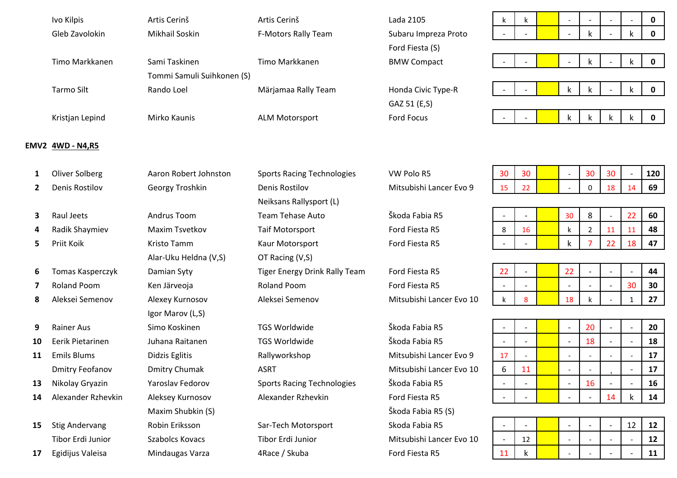| Ivo Kilpis      | Artis Cerinš               | Artis Cerinš          | Lada 2105            | ĸ |          |   |   |
|-----------------|----------------------------|-----------------------|----------------------|---|----------|---|---|
| Gleb Zavolokin  | Mikhail Soskin             | F-Motors Rally Team   | Subaru Impreza Proto |   |          |   | k |
|                 |                            |                       | Ford Fiesta (S)      |   |          |   |   |
| Timo Markkanen  | Sami Taskinen              | Timo Markkanen        | <b>BMW Compact</b>   |   |          | K |   |
|                 | Tommi Samuli Suihkonen (S) |                       |                      |   |          |   |   |
| Tarmo Silt      | Rando Loel                 | Märjamaa Rally Team   | Honda Civic Type-R   |   | ı,<br>ĸ. |   |   |
|                 |                            |                       | GAZ 51 (E,S)         |   |          |   |   |
| Kristjan Lepind | Mirko Kaunis               | <b>ALM Motorsport</b> | Ford Focus           |   | k        |   |   |
|                 |                            |                       |                      |   |          |   |   |

### **EMV2 4WD - N4,R5**

**1**

|                | Oliver Solberg        | Aaron Robert Johnston | Sports Racing Technologies           | VW Polo R5               | 30                       | 30 |                          | 30       | 30 |                          | 120 |
|----------------|-----------------------|-----------------------|--------------------------------------|--------------------------|--------------------------|----|--------------------------|----------|----|--------------------------|-----|
| $\mathbf{2}$   | <b>Denis Rostilov</b> | Georgy Troshkin       | <b>Denis Rostilov</b>                | Mitsubishi Lancer Evo 9  | 15                       | 22 |                          | $\Omega$ | 18 | 14                       | 69  |
|                |                       |                       | Neiksans Rallysport (L)              |                          |                          |    |                          |          |    |                          |     |
| 3              | Raul Jeets            | Andrus Toom           | <b>Team Tehase Auto</b>              | Škoda Fabia R5           |                          |    | 30                       | 8        |    | 22                       | 60  |
| 4              | Radik Shaymiev        | Maxim Tsvetkov        | <b>Taif Motorsport</b>               | Ford Fiesta R5           | 8                        | 16 | k.                       | 2        | 11 | 11                       | 48  |
| 5.             | Priit Koik            | Kristo Tamm           | Kaur Motorsport                      | Ford Fiesta R5           | $\overline{\phantom{a}}$ |    | k.                       |          | 22 | 18                       | 47  |
|                |                       | Alar-Uku Heldna (V,S) | OT Racing (V,S)                      |                          |                          |    |                          |          |    |                          |     |
| 6              | Tomas Kasperczyk      | Damian Syty           | <b>Tiger Energy Drink Rally Team</b> | Ford Fiesta R5           | 22                       |    | 22                       |          |    |                          | 44  |
| $\overline{ }$ | <b>Roland Poom</b>    | Ken Järveoja          | <b>Roland Poom</b>                   | Ford Fiesta R5           | $\overline{\phantom{0}}$ |    |                          |          |    | 30                       | 30  |
| 8              | Aleksei Semenov       | Alexey Kurnosov       | Aleksei Semenov                      | Mitsubishi Lancer Evo 10 | k                        | 8  | 18                       |          |    | $\mathbf{1}$             | 27  |
|                |                       | Igor Marov (L,S)      |                                      |                          |                          |    |                          |          |    |                          |     |
| 9              | <b>Rainer Aus</b>     | Simo Koskinen         | TGS Worldwide                        | Škoda Fabia R5           |                          |    | $\overline{\phantom{a}}$ | 20       |    |                          | 20  |
| 10             | Eerik Pietarinen      | Juhana Raitanen       | <b>TGS Worldwide</b>                 | Škoda Fabia R5           | $\overline{\phantom{a}}$ |    |                          | 18       |    |                          | 18  |
| 11             | <b>Emils Blums</b>    | Didzis Eglitis        | Rallyworkshop                        | Mitsubishi Lancer Evo 9  | 17                       |    |                          |          |    |                          | 17  |
|                | Dmitry Feofanov       | Dmitry Chumak         | <b>ASRT</b>                          | Mitsubishi Lancer Evo 10 | 6                        | 11 |                          |          |    | $\overline{\phantom{a}}$ | 17  |
| 13             | Nikolay Gryazin       | Yaroslav Fedorov      | <b>Sports Racing Technologies</b>    | Škoda Fabia R5           |                          |    |                          | 16       |    |                          | 16  |
| 14             | Alexander Rzhevkin    | Aleksey Kurnosov      | Alexander Rzhevkin                   | Ford Fiesta R5           |                          |    |                          |          | 14 |                          | 14  |
|                |                       | Maxim Shubkin (S)     |                                      | Škoda Fabia R5 (S)       |                          |    |                          |          |    |                          |     |
| 15             | <b>Stig Andervang</b> | Robin Eriksson        | Sar-Tech Motorsport                  | Skoda Fabia R5           | $\overline{\phantom{a}}$ |    | $\overline{\phantom{0}}$ |          |    | 12                       | 12  |
|                | Tibor Erdi Junior     | Szabolcs Kovacs       | Tibor Erdi Junior                    | Mitsubishi Lancer Evo 10 | $\overline{\phantom{a}}$ | 12 |                          |          |    |                          | 12  |
| 17             | Egidijus Valeisa      | Mindaugas Varza       | 4Race / Skuba                        | Ford Fiesta R5           | 11                       | k. |                          |          |    |                          | 11  |
|                |                       |                       |                                      |                          |                          |    |                          |          |    |                          |     |

| Lada 2105            |
|----------------------|
| Subaru Impreza Proto |
| Ford Fiesta (S)      |
| <b>BMW Compact</b>   |
|                      |
| Honda Civic Type-R   |
| GAZ 51 (E,S)         |
| <b>Ford Focus</b>    |

| -<br>ٮ       |                          |  |                          |  |
|--------------|--------------------------|--|--------------------------|--|
| npreza Proto | $\overline{\phantom{0}}$ |  | $\overline{\phantom{0}}$ |  |





| VW Polo R5              |
|-------------------------|
| Mitsubishi Lancer Evo 9 |

| 30 | 30 |  | 30 | $\sim$ | 120 |
|----|----|--|----|--------|-----|
| 15 | 22 |  | 18 | 14     | 69  |

|    | 30 |                 | 22        | 60 |
|----|----|-----------------|-----------|----|
| 16 |    | 11              | <b>11</b> | 48 |
|    |    | 22 <sub>1</sub> | 18        | 47 |

| 22 |  | 22 |  |    | 44 |
|----|--|----|--|----|----|
|    |  |    |  | 30 | 30 |
|    |  | 18 |  |    | 27 |

| 20 |   |    | 20 |  |    |    |
|----|---|----|----|--|----|----|
| 18 |   |    | 18 |  |    |    |
| 17 |   |    |    |  |    | 17 |
| 17 |   |    |    |  | 11 | 6  |
| 16 |   |    | 16 |  |    |    |
| 14 | k | 14 |    |  |    |    |

|    |  |  |  | $12$ 12 |
|----|--|--|--|---------|
|    |  |  |  | 12      |
| 11 |  |  |  | 11      |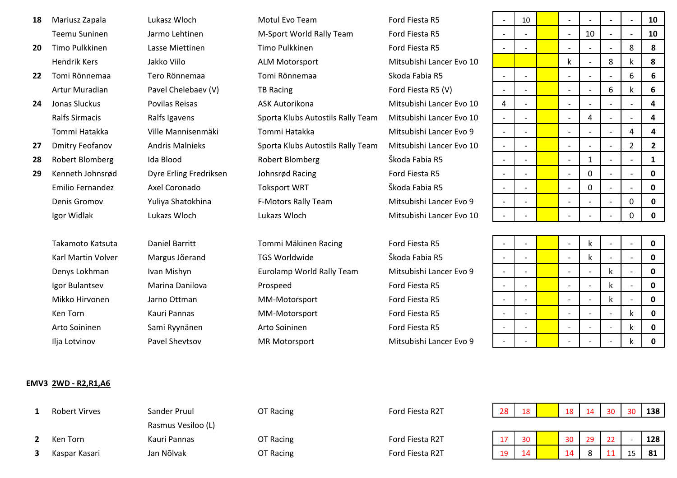- **18**
- **20**
- **22**
- **24**
- **27**
- **28**
- **29** Kenneth Johnsrød
	-

- Teemu Suninen Jarmo Lehtinen **M-Sport World Rally Team** Ford Fiesta R5 Ralfs Sirmacis **Ralfs Igavens** Sporta Klubs Autostils Rally Team Mitsubishi Lancer Evo 10 Dmitry Feofanov **Andris Malnieks** Sporta Klubs Autostils Rally Team Mitsubishi Lancer Evo 10 Igor Widlak Lukazs Wloch Lukazs Wloch Mitsubishi Lancer Evo 10 - - - - - <sup>0</sup>
	-
- 
- Denys Lokhman Ivan Mishyn **Ivan Mishyn** Eurolamp World Rally Team Mitsubishi Lancer Evo 9

| 8<br>Mariusz Zapala    | Lukasz Wloch           | Motul Evo Team                    | Ford Fiesta R5           |                          | 10                       |                          |          |                          |                | 10           |
|------------------------|------------------------|-----------------------------------|--------------------------|--------------------------|--------------------------|--------------------------|----------|--------------------------|----------------|--------------|
| Teemu Suninen          | Jarmo Lehtinen         | M-Sport World Rally Team          | Ford Fiesta R5           | $\overline{\phantom{0}}$ | $\overline{\phantom{a}}$ | $\overline{\phantom{a}}$ | 10       | $\overline{\phantom{0}}$ |                | 10           |
| Timo Pulkkinen<br>0    | Lasse Miettinen        | Timo Pulkkinen                    | Ford Fiesta R5           |                          |                          | $\overline{\phantom{a}}$ |          | $\overline{\phantom{a}}$ | 8              | 8            |
| <b>Hendrik Kers</b>    | Jakko Viilo            | <b>ALM Motorsport</b>             | Mitsubishi Lancer Evo 10 |                          |                          | k                        |          | 8                        |                | 8            |
| Tomi Rönnemaa<br>2     | Tero Rönnemaa          | Tomi Rönnemaa                     | Skoda Fabia R5           |                          | $\overline{\phantom{a}}$ |                          |          | $\overline{\phantom{a}}$ | 6              | 6            |
| Artur Muradian         | Pavel Chelebaev (V)    | TB Racing                         | Ford Fiesta R5 (V)       |                          | $\overline{\phantom{a}}$ |                          |          | 6                        |                | 6            |
| Jonas Sluckus<br>4     | Povilas Reisas         | ASK Autorikona                    | Mitsubishi Lancer Evo 10 | 4                        | $\overline{\phantom{0}}$ | $\overline{\phantom{a}}$ |          |                          |                | 4            |
| <b>Ralfs Sirmacis</b>  | Ralfs Igavens          | Sporta Klubs Autostils Rally Team | Mitsubishi Lancer Evo 10 | $\overline{\phantom{a}}$ | $\overline{\phantom{a}}$ | $\overline{\phantom{a}}$ | 4        | $\overline{\phantom{0}}$ |                | 4            |
| Tommi Hatakka          | Ville Mannisenmäki     | Tommi Hatakka                     | Mitsubishi Lancer Evo 9  |                          | $\overline{\phantom{0}}$ |                          |          | $\overline{\phantom{0}}$ | 4              | 4            |
| <b>Dmitry Feofanov</b> | <b>Andris Malnieks</b> | Sporta Klubs Autostils Rally Team | Mitsubishi Lancer Evo 10 |                          | $\overline{\phantom{a}}$ |                          |          | $\overline{\phantom{a}}$ | $\overline{2}$ | $\mathbf{2}$ |
| Robert Blomberg<br>8   | Ida Blood              | Robert Blomberg                   | Škoda Fabia R5           |                          | $\overline{\phantom{a}}$ | $\overline{\phantom{a}}$ |          | $\overline{\phantom{a}}$ |                | 1            |
| Kenneth Johnsrød<br>9  | Dyre Erling Fredriksen | Johnsrød Racing                   | Ford Fiesta R5           |                          | $\overline{\phantom{a}}$ | $\overline{\phantom{a}}$ | $\Omega$ |                          |                | $\mathbf{0}$ |
| Emilio Fernandez       | Axel Coronado          | <b>Toksport WRT</b>               | Škoda Fabia R5           |                          | $\overline{\phantom{a}}$ | $\overline{\phantom{a}}$ | 0        | $\overline{\phantom{0}}$ |                | $\mathbf{0}$ |
| Denis Gromov           | Yuliya Shatokhina      | F-Motors Rally Team               | Mitsubishi Lancer Evo 9  |                          | $\overline{\phantom{a}}$ | $\overline{\phantom{0}}$ |          | $\overline{\phantom{a}}$ | $\Omega$       | 0            |
| Igor Widlak            | Lukazs Wloch           | Lukazs Wloch                      | Mitsubishi Lancer Evo 10 |                          |                          |                          |          |                          | <sup>0</sup>   | 0            |

| Takamoto Katsuta   | Daniel Barritt  | Tommi Mäkinen Racing      | Ford Fiesta R5          |   | $\overline{\phantom{0}}$ |                          |                          | $\overline{\phantom{0}}$ | 0 |
|--------------------|-----------------|---------------------------|-------------------------|---|--------------------------|--------------------------|--------------------------|--------------------------|---|
| Karl Martin Volver | Margus Jõerand  | <b>TGS Worldwide</b>      | Škoda Fabia R5          |   |                          |                          | $\overline{\phantom{0}}$ | $\overline{\phantom{0}}$ | 0 |
| Denys Lokhman      | Ivan Mishyn     | Eurolamp World Rally Team | Mitsubishi Lancer Evo 9 |   |                          |                          | IX.                      | $\overline{\phantom{0}}$ |   |
| Igor Bulantsev     | Marina Danilova | Prospeed                  | Ford Fiesta R5          |   |                          |                          | ı,                       | $\overline{\phantom{0}}$ | 0 |
| Mikko Hirvonen     | Jarno Ottman    | MM-Motorsport             | Ford Fiesta R5          | - |                          | $\overline{\phantom{0}}$ |                          | $\overline{\phantom{0}}$ | 0 |
| Ken Torn           | Kauri Pannas    | MM-Motorsport             | Ford Fiesta R5          |   |                          |                          |                          |                          | 0 |
| Arto Soininen      | Sami Ryynänen   | Arto Soininen             | Ford Fiesta R5          |   |                          |                          |                          | K                        | 0 |
| Ilja Lotvinov      | Pavel Shevtsov  | <b>MR Motorsport</b>      | Mitsubishi Lancer Evo 9 |   |                          |                          |                          |                          |   |
|                    |                 |                           |                         |   |                          |                          |                          |                          |   |

### **EMV3 2WD - R2,R1,A6**

| 1 | <b>Robert Virves</b> | Sander Pr |
|---|----------------------|-----------|
|   |                      | Rasmus V  |
| 2 | Ken Torn             | Kauri Pan |
| 3 | Kaspar Kasari        | Jan Nõlva |

| <b>Robert Virves</b> | Sander Pruul       | OT Racing | Ford Fiesta R2T | 28 | 18 | 18 |    | 30 | 138  |
|----------------------|--------------------|-----------|-----------------|----|----|----|----|----|------|
|                      | Rasmus Vesiloo (L) |           |                 |    |    |    |    |    |      |
| Ken Torn             | Kauri Pannas       | OT Racing | Ford Fiesta R2T | 17 | 30 | 30 | 29 |    | 128  |
| Kaspar Kasari        | Jan Nõlvak         | OT Racing | Ford Fiesta R2T | 19 |    |    | o  |    | - 01 |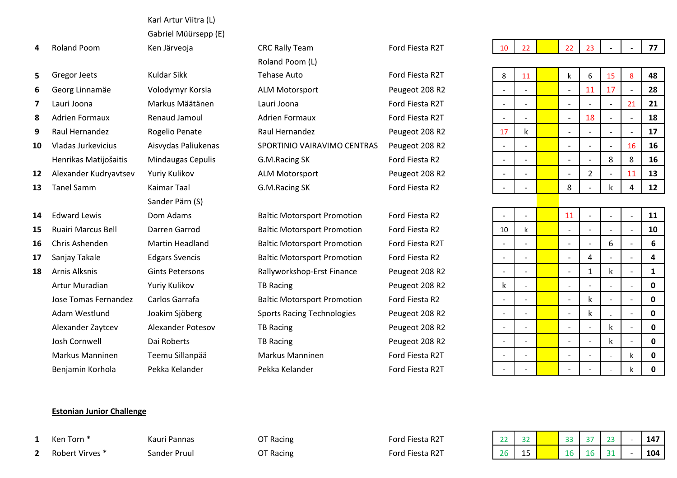|    |                             | udl |
|----|-----------------------------|-----|
| 4  | <b>Roland Poom</b>          | Ker |
| 5  | <b>Gregor Jeets</b>         | Kul |
| 6  | Georg Linnamäe              | Vol |
| 7  | Lauri Joona                 | Ma  |
| 8  | <b>Adrien Formaux</b>       | Rer |
| 9  | Raul Hernandez              | Rog |
| 10 | <b>Vladas Jurkevicius</b>   | Ais |
|    | Henrikas Matijošaitis       | Mir |
| 12 | Alexander Kudryavtsev       | Yur |
| 13 | <b>Tanel Samm</b>           | Kai |
|    |                             | San |
| 14 | <b>Edward Lewis</b>         | Dor |
| 15 | Ruairi Marcus Bell          | Dar |
| 16 | Chris Ashenden              | Ma  |
| 17 | Sanjay Takale               | Edg |
| 18 | Arnis Alksnis               | Gin |
|    | Artur Muradian              | Yur |
|    | <b>Jose Tomas Fernandez</b> | Car |
|    | Adam Westlund               | Joa |
|    | Alexander Zaytcev           | Ale |
|    | Josh Cornwell               | Dai |
|    | Markus Manninen             | Tee |
|    | Benjamin Korhola            | Pek |

Gabriel Müürsepp (E)nder Pärn (S)

Karl Artur Viitra (L)

|               |                           | Gabriel Müürsepp (E)     |                                    |                 |                          |                          |                          |                |                          |    |    |
|---------------|---------------------------|--------------------------|------------------------------------|-----------------|--------------------------|--------------------------|--------------------------|----------------|--------------------------|----|----|
| 4             | <b>Roland Poom</b>        | Ken Järveoja             | <b>CRC Rally Team</b>              | Ford Fiesta R2T | 10                       | 22                       | 22                       | 23             |                          |    | 77 |
|               |                           |                          | Roland Poom (L)                    |                 |                          |                          |                          |                |                          |    |    |
|               | <b>Gregor Jeets</b>       | Kuldar Sikk              | Tehase Auto                        | Ford Fiesta R2T | 8                        | 11                       | k                        | 6              | 15                       | 8  | 48 |
| 6             | Georg Linnamäe            | Volodymyr Korsia         | <b>ALM Motorsport</b>              | Peugeot 208 R2  | $\overline{\phantom{a}}$ | $\overline{\phantom{a}}$ | $\overline{\phantom{a}}$ | 11             | 17                       |    | 28 |
|               | Lauri Joona               | Markus Määtänen          | Lauri Joona                        | Ford Fiesta R2T | $\overline{\phantom{a}}$ |                          | $\overline{\phantom{a}}$ |                |                          | 21 | 21 |
| 8             | <b>Adrien Formaux</b>     | Renaud Jamoul            | <b>Adrien Formaux</b>              | Ford Fiesta R2T | $\overline{\phantom{a}}$ |                          | $\overline{\phantom{a}}$ | 18             |                          |    | 18 |
| 9             | Raul Hernandez            | Rogelio Penate           | Raul Hernandez                     | Peugeot 208 R2  | 17                       | k                        | $\overline{\phantom{a}}$ |                |                          |    | 17 |
| LO            | Vladas Jurkevicius        | Aisvydas Paliukenas      | SPORTINIO VAIRAVIMO CENTRAS        | Peugeot 208 R2  | $\overline{\phantom{a}}$ |                          | $\overline{\phantom{a}}$ |                |                          | 16 | 16 |
|               | Henrikas Matijošaitis     | <b>Mindaugas Cepulis</b> | G.M.Racing SK                      | Ford Fiesta R2  | $\overline{\phantom{a}}$ |                          | $\overline{\phantom{0}}$ |                | 8                        | 8  | 16 |
| $\mathsf{L2}$ | Alexander Kudryavtsev     | Yuriy Kulikov            | <b>ALM Motorsport</b>              | Peugeot 208 R2  | $\overline{\phantom{a}}$ |                          | $\overline{\phantom{a}}$ | $\overline{2}$ | $\overline{\phantom{a}}$ | 11 | 13 |
| L3.           | <b>Tanel Samm</b>         | Kaimar Taal              | G.M.Racing SK                      | Ford Fiesta R2  | $\overline{\phantom{a}}$ |                          | 8                        |                | k                        |    | 12 |
|               |                           | Sander Pärn (S)          |                                    |                 |                          |                          |                          |                |                          |    |    |
| L4            | <b>Edward Lewis</b>       | Dom Adams                | <b>Baltic Motorsport Promotion</b> | Ford Fiesta R2  | $\overline{\phantom{a}}$ |                          | 11                       |                |                          |    | 11 |
| L5.           | <b>Ruairi Marcus Bell</b> | Darren Garrod            | <b>Baltic Motorsport Promotion</b> | Ford Fiesta R2  | 10                       | k                        | $\overline{\phantom{a}}$ |                |                          |    | 10 |
| L6            | Chris Ashenden            | <b>Martin Headland</b>   | <b>Baltic Motorsport Promotion</b> | Ford Fiesta R2T | $\overline{\phantom{a}}$ |                          | $\overline{\phantom{0}}$ |                | 6                        |    | 6  |
| L7            | Sanjay Takale             | <b>Edgars Svencis</b>    | <b>Baltic Motorsport Promotion</b> | Ford Fiesta R2  | $\overline{\phantom{a}}$ |                          | $\overline{\phantom{0}}$ | 4              |                          |    | 4  |
| L8            | Arnis Alksnis             | <b>Gints Petersons</b>   | Rallyworkshop-Erst Finance         | Peugeot 208 R2  | $\overline{\phantom{a}}$ |                          | $-$                      |                | k                        |    | 1  |
|               | Artur Muradian            | Yuriy Kulikov            | <b>TB Racing</b>                   | Peugeot 208 R2  | k                        |                          | $-$                      |                |                          |    | 0  |
|               | Jose Tomas Fernandez      | Carlos Garrafa           | <b>Baltic Motorsport Promotion</b> | Ford Fiesta R2  | $\overline{\phantom{a}}$ |                          | $\overline{\phantom{a}}$ | k.             |                          |    | 0  |
|               | Adam Westlund             | Joakim Sjöberg           | <b>Sports Racing Technologies</b>  | Peugeot 208 R2  | $\overline{\phantom{a}}$ | $\overline{\phantom{a}}$ | $\overline{\phantom{0}}$ | k              |                          |    | 0  |
|               | Alexander Zaytcev         | Alexander Potesov        | <b>TB Racing</b>                   | Peugeot 208 R2  | $\overline{\phantom{a}}$ |                          | $-$                      |                | k                        |    | 0  |
|               |                           |                          |                                    |                 |                          |                          |                          |                |                          |    |    |

| 10 | -22<br>-- |  | 22<br>__ | 23 |  |  | 77 |
|----|-----------|--|----------|----|--|--|----|
|----|-----------|--|----------|----|--|--|----|

|              | Gregor Jeets          | Kuldar Sikk         | Tehase Auto                 | Ford Fiesta R2T | 8 | 11 |                          | b  | 15                       |    | 48 |
|--------------|-----------------------|---------------------|-----------------------------|-----------------|---|----|--------------------------|----|--------------------------|----|----|
|              | Georg Linnamäe        | Volodymyr Korsia    | <b>ALM Motorsport</b>       | Peugeot 208 R2  |   |    | $\overline{\phantom{0}}$ |    | 17                       |    | 28 |
|              | Lauri Joona           | Markus Määtänen     | Lauri Joona                 | Ford Fiesta R2T |   |    |                          |    |                          |    | 21 |
| Ջ            | <b>Adrien Formaux</b> | Renaud Jamoul       | <b>Adrien Formaux</b>       | Ford Fiesta R2T |   |    | $\overline{\phantom{0}}$ | 18 | $\overline{\phantom{a}}$ |    | 18 |
|              | Raul Hernandez        | Rogelio Penate      | Raul Hernandez              | Peugeot 208 R2  |   | k  |                          |    |                          |    | 17 |
|              | Vladas Jurkevicius    | Aisvydas Paliukenas | SPORTINIO VAIRAVIMO CENTRAS | Peugeot 208 R2  |   |    |                          |    |                          | 16 | 16 |
|              | Henrikas Matijošaitis | Mindaugas Cepulis   | G.M.Racing SK               | Ford Fiesta R2  |   |    |                          |    | 8                        |    | 16 |
| $\mathbf{2}$ | Alexander Kudryavtsev | Yuriy Kulikov       | <b>ALM Motorsport</b>       | Peugeot 208 R2  |   |    | $\overline{\phantom{0}}$ |    |                          |    | 13 |
| З.           | Tanel Samm            | Kaimar Taal         | G.M.Racing SK               | Ford Fiesta R2  |   |    | 8                        |    |                          |    | 12 |

| <b>Edward Lewis</b><br>Δ. | Dom Adams              | <b>Baltic Motorsport Promotion</b> | Ford Fiesta R2  |    |                          | 11                       |   |    | 11 |
|---------------------------|------------------------|------------------------------------|-----------------|----|--------------------------|--------------------------|---|----|----|
| <b>Ruairi Marcus Bell</b> | Darren Garrod          | <b>Baltic Motorsport Promotion</b> | Ford Fiesta R2  | 10 |                          |                          |   |    | 10 |
| Chris Ashenden            | <b>Martin Headland</b> | <b>Baltic Motorsport Promotion</b> | Ford Fiesta R2T |    |                          |                          |   | 6  | 6  |
| Sanjay Takale             | <b>Edgars Svencis</b>  | <b>Baltic Motorsport Promotion</b> | Ford Fiesta R2  |    |                          |                          |   |    | 4  |
| Arnis Alksnis             | <b>Gints Petersons</b> | Rallyworkshop-Erst Finance         | Peugeot 208 R2  |    |                          |                          |   | k  |    |
| Artur Muradian            | Yuriy Kulikov          | <b>TB Racing</b>                   | Peugeot 208 R2  | k  |                          |                          |   |    |    |
| Jose Tomas Fernandez      | Carlos Garrafa         | <b>Baltic Motorsport Promotion</b> | Ford Fiesta R2  |    |                          |                          |   |    |    |
| Adam Westlund             | Joakim Sjöberg         | <b>Sports Racing Technologies</b>  | Peugeot 208 R2  |    | $\overline{\phantom{0}}$ |                          | к |    |    |
| Alexander Zaytcev         | Alexander Potesov      | TB Racing                          | Peugeot 208 R2  |    | $\overline{\phantom{0}}$ | $\overline{\phantom{0}}$ |   | k. | 0  |
| Josh Cornwell             | Dai Roberts            | <b>TB Racing</b>                   | Peugeot 208 R2  |    |                          |                          |   | k  | 0  |
| Markus Manninen           | Teemu Sillanpää        | Markus Manninen                    | Ford Fiesta R2T |    | $\qquad \qquad -$        | $\overline{\phantom{0}}$ |   |    | 0  |
| Benjamin Korhola          | Pekka Kelander         | Pekka Kelander                     | Ford Fiesta R2T |    |                          |                          |   |    |    |
|                           |                        |                                    |                 |    |                          |                          |   |    |    |

### **Estonian Junior Challenge**

**2**

| Ken Torn *      | Kauri Pannas | <b>OT Racing</b> | Ford Fiesta R2T |               | -- |   |  | 147 |
|-----------------|--------------|------------------|-----------------|---------------|----|---|--|-----|
| Robert Virves * | Sander Pruul | ∩T Racing        | Ford Fiesta R2T | $\sim$<br>--- | -- | ∸ |  | 104 |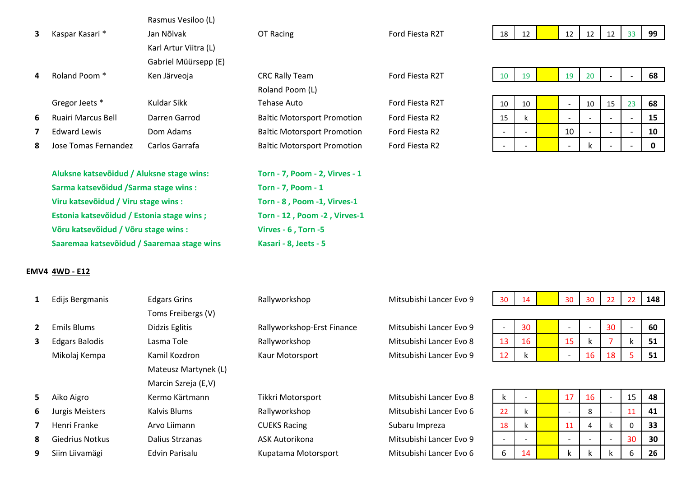|    |                      | Rasmus Vesiloo (L)    |                                    |                 |                          |    |                          |                          |    |    |             |
|----|----------------------|-----------------------|------------------------------------|-----------------|--------------------------|----|--------------------------|--------------------------|----|----|-------------|
| 3. | Kaspar Kasari *      | Jan Nõlvak            | OT Racing                          | Ford Fiesta R2T | 18                       | 12 | 12                       | 12                       | 12 | 33 | 99          |
|    |                      | Karl Artur Viitra (L) |                                    |                 |                          |    |                          |                          |    |    |             |
|    |                      | Gabriel Müürsepp (E)  |                                    |                 |                          |    |                          |                          |    |    |             |
| 4  | Roland Poom *        | Ken Järveoja          | <b>CRC Rally Team</b>              | Ford Fiesta R2T | 10                       | 19 | 19                       | 20                       |    |    | 68          |
|    |                      |                       | Roland Poom (L)                    |                 |                          |    |                          |                          |    |    |             |
|    | Gregor Jeets *       | Kuldar Sikk           | Tehase Auto                        | Ford Fiesta R2T | 10                       | 10 | $\overline{\phantom{a}}$ | 10                       | 15 | 23 | 68          |
| 6  | Ruairi Marcus Bell   | Darren Garrod         | <b>Baltic Motorsport Promotion</b> | Ford Fiesta R2  | 15                       | k  | $\overline{\phantom{a}}$ | $\overline{\phantom{0}}$ |    |    | 15          |
|    | <b>Edward Lewis</b>  | Dom Adams             | <b>Baltic Motorsport Promotion</b> | Ford Fiesta R2  | $\overline{\phantom{0}}$ |    | 10                       |                          |    |    | 10          |
| 8  | Jose Tomas Fernandez | Carlos Garrafa        | <b>Baltic Motorsport Promotion</b> | Ford Fiesta R2  |                          |    | $\overline{\phantom{0}}$ | k                        |    |    | $\mathbf 0$ |
|    |                      |                       |                                    |                 |                          |    |                          |                          |    |    |             |

| Aluksne katsevõidud / Aluksne stage wins:  | Torn - 7, Poom - 2, Virves - 1 |
|--------------------------------------------|--------------------------------|
| Sarma katsevõidud / Sarma stage wins :     | <b>Torn - 7, Poom - 1</b>      |
| Viru katsevõidud / Viru stage wins :       | Torn - 8, Poom -1, Virves-1    |
| Estonia katsevõidud / Estonia stage wins ; | Torn - 12, Poom -2, Virves-1   |
| Võru katsevõidud / Võru stage wins :       | Virves - 6, Torn -5            |
| Saaremaa katsevõidud / Saaremaa stage wins | Kasari - 8, Jeets - 5          |
|                                            |                                |

### **EMV4 4WD - E12**

| 1  | Edijs Bergmanis       | <b>Edgars Grins</b>  | Rallyworkshop              | Mitsubishi Lancer Evo 9 | 30                       | 14 | 30                       | 30                       | 22 | 22 | 148 |
|----|-----------------------|----------------------|----------------------------|-------------------------|--------------------------|----|--------------------------|--------------------------|----|----|-----|
|    |                       | Toms Freibergs (V)   |                            |                         |                          |    |                          |                          |    |    |     |
| 2  | <b>Emils Blums</b>    | Didzis Eglitis       | Rallyworkshop-Erst Finance | Mitsubishi Lancer Evo 9 | $\overline{\phantom{a}}$ | 30 |                          | $\overline{\phantom{a}}$ | 30 |    | 60  |
| 3. | <b>Edgars Balodis</b> | Lasma Tole           | Rallyworkshop              | Mitsubishi Lancer Evo 8 | 13                       | 16 | 15                       | k                        |    |    | 51  |
|    | Mikolaj Kempa         | Kamil Kozdron        | Kaur Motorsport            | Mitsubishi Lancer Evo 9 | 12                       | k  | $\overline{\phantom{a}}$ | 16 <sup>1</sup>          | 18 | 5  | 51  |
|    |                       | Mateusz Martynek (L) |                            |                         |                          |    |                          |                          |    |    |     |
|    |                       | Marcin Szreja (E,V)  |                            |                         |                          |    |                          |                          |    |    |     |
| 5. | Aiko Aigro            | Kermo Kärtmann       | Tikkri Motorsport          | Mitsubishi Lancer Evo 8 | k                        |    | 17                       | 16                       |    | 15 | 48  |
| 6  | Jurgis Meisters       | Kalvis Blums         | Rallyworkshop              | Mitsubishi Lancer Evo 6 | 22                       | k  | $\overline{\phantom{a}}$ | 8                        |    | 11 | 41  |
|    | Henri Franke          | Arvo Liimann         | <b>CUEKS Racing</b>        | Subaru Impreza          | 18                       | k  | 11                       |                          | k  | 0  | 33  |
| 8  | Giedrius Notkus       | Dalius Strzanas      | ASK Autorikona             | Mitsubishi Lancer Evo 9 | $\overline{\phantom{a}}$ |    | $\overline{\phantom{a}}$ |                          |    | 30 | 30  |
| 9  | Siim Liivamägi        | Edvin Parisalu       | Kupatama Motorsport        | Mitsubishi Lancer Evo 6 | 6                        | 14 | k                        |                          | k  | b  | 26  |
|    |                       |                      |                            |                         |                          |    |                          |                          |    |    |     |

|  |  |  | -- | -- | 148 |
|--|--|--|----|----|-----|

| 9 |    | 30 |  |    | 30              |      | 60 |
|---|----|----|--|----|-----------------|------|----|
| 8 | 13 | 16 |  |    |                 |      | 51 |
| 9 |    |    |  | 16 | 18 <sup>1</sup> | $-5$ | 51 |

| 48 | 15 |   | 16 | 17 |    | k  |
|----|----|---|----|----|----|----|
| 41 | 11 |   | 8  |    | k  | 22 |
| 33 | 0  | k | 4  | 11 | k  | 18 |
| 30 | 30 |   |    |    |    |    |
| 26 | 6  | k | k  | k  | 14 | 6  |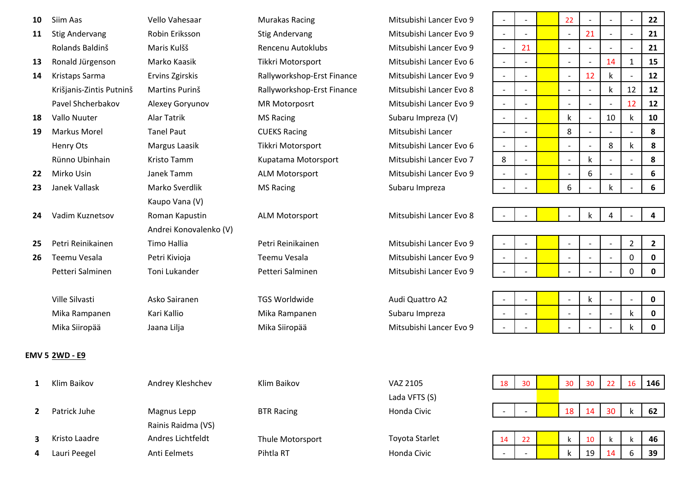| 10 | Siim Aas                 | V  |
|----|--------------------------|----|
| 11 | <b>Stig Andervang</b>    | R  |
|    | Rolands Baldinš          | M  |
| 13 | Ronald Jürgenson         | M  |
| 14 | Kristaps Sarma           | Eı |
|    | Krišjanis-Zintis Putninš | M  |
|    | Pavel Shcherbakov        | Α  |
| 18 | <b>Vallo Nuuter</b>      | A  |
| 19 | <b>Markus Morel</b>      | T  |
|    | Henry Ots                | N  |
|    | Rünno Ubinhain           | K  |
| 22 | Mirko Usin               | Ja |
| 23 | Janek Vallask            | N  |
|    |                          | K  |
| 24 | Vadim Kuznetsov          | R  |
|    |                          | А  |
| 25 | Petri Reinikainen        | Ti |
| 26 | Teemu Vesala             | P  |
|    | Petteri Salminen         | T) |
|    |                          |    |

# **EMV 5 2WD - E9**

**12**2 Patrick Juhe Magnus Lepp BTR Racing Honda Civic <mark> 18 14 30 k 62</mark> Rainis Raidma (VS)**3** Kristo Laadre Andres Lichtfeldt Thule Motorsport Toyota Starlet <sup>14</sup> <sup>22</sup> <sup>k</sup> <sup>10</sup> <sup>k</sup> <sup>k</sup> **<sup>46</sup>4**

aupo Vana (V) Andrei Konovalenko (V)

| 0  | Siim Aas                 | Vello Vahesaar    | <b>Murakas Racing</b>      | Mitsubishi Lancer Evo 9 |                          |                          | 22                       |    |                          |    | 22 |
|----|--------------------------|-------------------|----------------------------|-------------------------|--------------------------|--------------------------|--------------------------|----|--------------------------|----|----|
| 1  | <b>Stig Andervang</b>    | Robin Eriksson    | <b>Stig Andervang</b>      | Mitsubishi Lancer Evo 9 |                          | $\overline{\phantom{a}}$ | $\overline{\phantom{a}}$ | 21 |                          |    | 21 |
|    | Rolands Baldinš          | Maris Kulšš       | Rencenu Autoklubs          | Mitsubishi Lancer Evo 9 |                          | 21                       |                          |    |                          |    | 21 |
| 3. | Ronald Jürgenson         | Marko Kaasik      | Tikkri Motorsport          | Mitsubishi Lancer Evo 6 |                          | $\overline{\phantom{0}}$ |                          |    | 14                       |    | 15 |
| 4  | Kristaps Sarma           | Ervins Zgirskis   | Rallyworkshop-Erst Finance | Mitsubishi Lancer Evo 9 |                          | $\overline{\phantom{a}}$ | $\overline{\phantom{a}}$ | 12 | k                        |    | 12 |
|    | Krišjanis-Zintis Putninš | Martins Purinš    | Rallyworkshop-Erst Finance | Mitsubishi Lancer Evo 8 | $\overline{\phantom{a}}$ | $\overline{\phantom{a}}$ |                          |    | k                        | 12 | 12 |
|    | Pavel Shcherbakov        | Alexey Goryunov   | <b>MR Motorposrt</b>       | Mitsubishi Lancer Evo 9 |                          | $\overline{\phantom{0}}$ |                          |    | $\overline{\phantom{a}}$ | 12 | 12 |
| 8  | Vallo Nuuter             | Alar Tatrik       | <b>MS Racing</b>           | Subaru Impreza (V)      | $\overline{\phantom{0}}$ | $\overline{\phantom{0}}$ |                          |    | 10                       |    | 10 |
| q  | Markus Morel             | <b>Tanel Paut</b> | <b>CUEKS Racing</b>        | Mitsubishi Lancer       |                          | $\overline{\phantom{a}}$ | 8                        |    |                          |    | 8  |
|    | Henry Ots                | Margus Laasik     | Tikkri Motorsport          | Mitsubishi Lancer Evo 6 |                          | $\overline{\phantom{a}}$ | $\overline{\phantom{a}}$ |    | 8                        |    | 8  |
|    | Rünno Ubinhain           | Kristo Tamm       | Kupatama Motorsport        | Mitsubishi Lancer Evo 7 | 8                        | $\overline{\phantom{0}}$ | $\overline{\phantom{a}}$ |    |                          |    | 8  |
| 2  | Mirko Usin               | Janek Tamm        | <b>ALM Motorsport</b>      | Mitsubishi Lancer Evo 9 |                          | $\overline{\phantom{a}}$ | $\overline{\phantom{a}}$ | 6  |                          |    | 6  |
| 3  | Janek Vallask            | Marko Sverdlik    | <b>MS Racing</b>           | Subaru Impreza          |                          | $\overline{\phantom{0}}$ | 6                        |    |                          |    | 6  |
|    |                          |                   |                            |                         |                          |                          |                          |    |                          |    |    |

| Vadım<br>.netsov<br>,,,,, | ۰ می<br>Kapustin<br>nan<br>ּ ישר | spor<br><b>MO</b><br>nr<br>. . | Mit<br>subis.<br>ancer I.<br>EVO 8<br>usni |  |  |  |  |
|---------------------------|----------------------------------|--------------------------------|--------------------------------------------|--|--|--|--|
|                           |                                  |                                |                                            |  |  |  |  |
|                           |                                  |                                |                                            |  |  |  |  |

| Petri Reinikainen | Timo Hallia   | Petri Reinikainen | Mitsubishi Lancer Evo 9 |  |  |  |  |
|-------------------|---------------|-------------------|-------------------------|--|--|--|--|
| Teemu Vesala      | Petri Kivioja | Teemu Vesala      | Mitsubishi Lancer Evo 9 |  |  |  |  |
| Petteri Salminen  | Toni Lukander | Petteri Salminen  | Mitsubishi Lancer Evo 9 |  |  |  |  |

| Ville Silvasti | Asko Sairanen | <b>TGS Worldwide</b> | Audi Quattro A2         |                          |  |  |  |  |
|----------------|---------------|----------------------|-------------------------|--------------------------|--|--|--|--|
| Mika Rampanen  | Kari Kallio   | Mika Rampanen        | Subaru Impreza          | $\overline{\phantom{0}}$ |  |  |  |  |
| Mika Siiropää  | Jaana Lilja   | Mika Siiropää        | Mitsubishi Lancer Evo 9 |                          |  |  |  |  |

| Klim Baikov  | Andrey Kleshchev | Klim Baikov       | VAZ 2105      | $\overline{ }$ | 30 | 30 | 30 | $\sim$<br>2Z. | 146 l |
|--------------|------------------|-------------------|---------------|----------------|----|----|----|---------------|-------|
|              |                  |                   | Lada VFTS (S) |                |    |    |    |               |       |
| Patrick Juhe | Magnus Lepp      | <b>BTR Racing</b> | Honda Civic   |                |    | 10 | 14 | 30            | 62    |

| Kristo Laadre | Andres Lichtfeldt | Thule Motorsport | Toyota Starlet | <u>ж.</u> |  | 10 |  | 46 |
|---------------|-------------------|------------------|----------------|-----------|--|----|--|----|
| Lauri Peegel  | Anti Eelmets      | Pihtla RT        | Honda Civic    |           |  | 10 |  | 39 |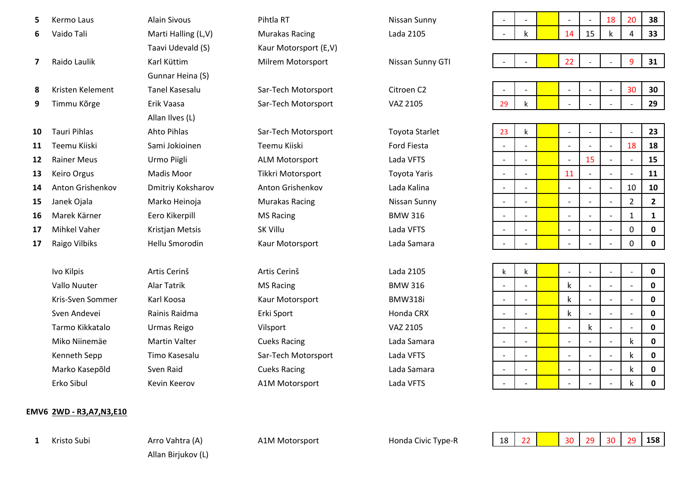| 5  | Kermo Laus          | <b>Alain Sivous</b>   | Pihtla RT             | Nissan Sunny          | $\overline{\phantom{a}}$ |   | $\overline{\phantom{a}}$ |                | 18                       | 20             | 38             |
|----|---------------------|-----------------------|-----------------------|-----------------------|--------------------------|---|--------------------------|----------------|--------------------------|----------------|----------------|
| 6  | Vaido Tali          | Marti Halling (L,V)   | <b>Murakas Racing</b> | Lada 2105             |                          | k | 14                       | 15             | k                        | 4              | 33             |
|    |                     | Taavi Udevald (S)     | Kaur Motorsport (E,V) |                       |                          |   |                          |                |                          |                |                |
| 7  | Raido Laulik        | Karl Küttim           | Milrem Motorsport     | Nissan Sunny GTI      |                          |   | 22                       |                |                          | 9              | 31             |
|    |                     | Gunnar Heina (S)      |                       |                       |                          |   |                          |                |                          |                |                |
| 8  | Kristen Kelement    | <b>Tanel Kasesalu</b> | Sar-Tech Motorsport   | Citroen C2            |                          |   |                          |                |                          | 30             | 30             |
| 9  | Timmu Kõrge         | Erik Vaasa            | Sar-Tech Motorsport   | VAZ 2105              | 29                       | k |                          |                |                          |                | 29             |
|    |                     | Allan Ilves (L)       |                       |                       |                          |   |                          |                |                          |                |                |
| 10 | <b>Tauri Pihlas</b> | <b>Ahto Pihlas</b>    | Sar-Tech Motorsport   | <b>Toyota Starlet</b> | 23                       | k | $\sim$                   | $\blacksquare$ |                          |                | 23             |
| 11 | Teemu Kiiski        | Sami Jokioinen        | Teemu Kiiski          | Ford Fiesta           |                          |   |                          |                |                          | 18             | 18             |
| 12 | <b>Rainer Meus</b>  | Urmo Piigli           | <b>ALM Motorsport</b> | Lada VFTS             | $\overline{\phantom{a}}$ |   | $\overline{\phantom{a}}$ | 15             |                          |                | 15             |
| 13 | Keiro Orgus         | Madis Moor            | Tikkri Motorsport     | <b>Toyota Yaris</b>   |                          |   | 11                       |                |                          |                | 11             |
| 14 | Anton Grishenkov    | Dmitriy Koksharov     | Anton Grishenkov      | Lada Kalina           | $\overline{\phantom{a}}$ |   | $\overline{\phantom{a}}$ |                | $\overline{\phantom{a}}$ | 10             | 10             |
| 15 | Janek Ojala         | Marko Heinoja         | <b>Murakas Racing</b> | Nissan Sunny          |                          |   |                          |                |                          | $\overline{2}$ | $\overline{2}$ |
| 16 | Marek Kärner        | Eero Kikerpill        | <b>MS Racing</b>      | <b>BMW 316</b>        | $\overline{\phantom{a}}$ |   |                          |                |                          | $\mathbf{1}$   | $\mathbf{1}$   |
| 17 | <b>Mihkel Vaher</b> | Kristjan Metsis       | SK Villu              | Lada VFTS             |                          |   |                          |                |                          | $\mathbf{0}$   | $\mathbf 0$    |
| 17 | Raigo Vilbiks       | Hellu Smorodin        | Kaur Motorsport       | Lada Samara           |                          |   |                          |                |                          | 0              | $\mathbf 0$    |
|    |                     |                       |                       |                       |                          |   |                          |                |                          |                |                |
|    | Ivo Kilpis          | Artis Cerinš          | Artis Cerinš          | Lada 2105             | k                        | k | $\sim$                   |                |                          |                | $\mathbf 0$    |
|    | <b>Vallo Nuuter</b> | <b>Alar Tatrik</b>    | <b>MS Racing</b>      | <b>BMW 316</b>        |                          |   | k                        |                |                          |                | $\mathbf 0$    |
|    | Kris-Sven Sommer    | Karl Koosa            | Kaur Motorsport       | <b>BMW318i</b>        | $\overline{\phantom{a}}$ |   | $\mathsf k$              |                |                          |                | $\pmb{0}$      |
|    | Sven Andevei        | Rainis Raidma         | Erki Sport            | Honda CRX             | $\overline{\phantom{a}}$ |   | $\mathsf k$              |                |                          |                | $\mathbf 0$    |
|    | Tarmo Kikkatalo     | Urmas Reigo           | Vilsport              | VAZ 2105              |                          |   |                          | k.             |                          |                | $\mathbf 0$    |
|    | Miko Niinemäe       | <b>Martin Valter</b>  | <b>Cueks Racing</b>   | Lada Samara           | $\overline{\phantom{a}}$ |   |                          |                |                          | k              | $\mathbf 0$    |
|    | Kenneth Sepp        | Timo Kasesalu         | Sar-Tech Motorsport   | Lada VFTS             | $\overline{\phantom{a}}$ |   | $\overline{\phantom{a}}$ |                |                          | k.             | $\mathbf 0$    |
|    | Marko Kasepõld      | Sven Raid             | <b>Cueks Racing</b>   | Lada Samara           | $\overline{\phantom{a}}$ |   | $\overline{\phantom{a}}$ |                | $\overline{\phantom{a}}$ | k.             | $\mathbf 0$    |
|    | mate and the the    | $11.71$ $11.71$       |                       | $1 - 1 - 1$           |                          |   |                          |                |                          |                |                |

|  | $\overline{\phantom{0}}$ |     | 18 | 20 | 38 |
|--|--------------------------|-----|----|----|----|
|  | 14                       | 1 E |    |    | 33 |

|    |  |  | $\overline{\phantom{0}}$ | 30 | 30 |
|----|--|--|--------------------------|----|----|
| 29 |  |  | $\overline{\phantom{a}}$ |    | 29 |

| 23                      |             |    |    | k | 23 |
|-------------------------|-------------|----|----|---|----|
| 18                      | 18          |    |    |   |    |
| 15                      |             | 15 |    |   |    |
| 11                      |             |    | 11 |   |    |
| 10                      | 10          |    |    |   |    |
| $\overline{\mathbf{2}}$ | $\mathbf 2$ |    |    |   |    |
| ${\bf 1}$               | 1           |    |    |   |    |
| $\mathbf 0$             | 0           |    |    |   |    |
| 0                       | 0           |    |    |   |    |

| lvo Kilpis       | Artis Cerinš  | Artis Cerinš        | Lada 2105      |  |  |    |  | $\overline{\phantom{a}}$ | 0 |
|------------------|---------------|---------------------|----------------|--|--|----|--|--------------------------|---|
| Vallo Nuuter     | Alar Tatrik   | <b>MS Racing</b>    | <b>BMW 316</b> |  |  | K. |  |                          |   |
| Kris-Sven Sommer | Karl Koosa    | Kaur Motorsport     | BMW318i        |  |  | K. |  |                          | 0 |
| Sven Andevei     | Rainis Raidma | Erki Sport          | Honda CRX      |  |  | K  |  |                          |   |
| Tarmo Kikkatalo  | Urmas Reigo   | Vilsport            | VAZ 2105       |  |  |    |  |                          |   |
| Miko Niinemäe    | Martin Valter | <b>Cueks Racing</b> | Lada Samara    |  |  |    |  | k                        |   |
| Kenneth Sepp     | Timo Kasesalu | Sar-Tech Motorsport | Lada VFTS      |  |  |    |  | k                        |   |
| Marko Kasepõld   | Sven Raid     | <b>Cueks Racing</b> | Lada Samara    |  |  |    |  | k                        |   |
| Erko Sibul       | Kevin Keerov  | A1M Motorsport      | Lada VFTS      |  |  |    |  |                          |   |
|                  |               |                     |                |  |  |    |  |                          |   |

### **EMV6 2WD - R3,A7,N3,E10**

**1**

Allan Birjukov (L)

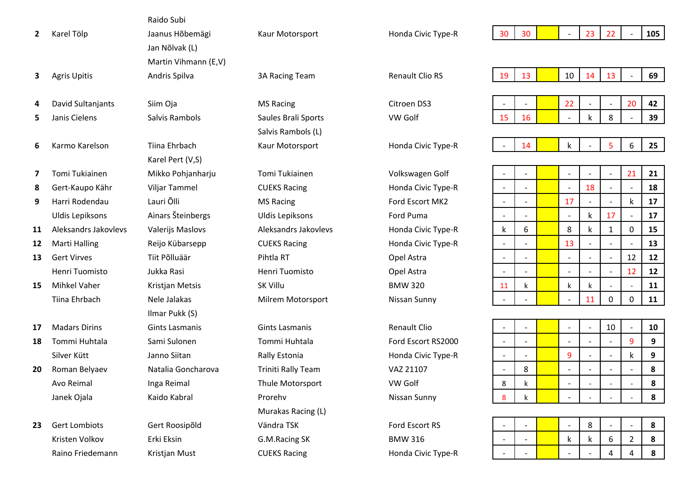Raido SubiKarel Tölp **Jaanus Hõbemägi** Kaur Motorsport Honda Civic Type-R Jan Nõlvak (L)Martin Vihmann (E,V)**3** Agris Upitis **Andris Spilva** 3A Racing Team Renault Clio RS 19 13 David Sultanjants Siim Oja MS Racing Citroen DS3 - - <sup>22</sup> - - <sup>20</sup> **<sup>42</sup> 5** Janis Cielens Salvis Rambols Saules Brali Sports VW Golf 15 16 - k 8 - 39 Karmo Karelson Tiina Ehrbach Kaur Motorsport Honda Civic Type-R - <sup>14</sup> <sup>k</sup> - <sup>5</sup> <sup>6</sup> **<sup>25</sup>** Karel Pert (V,S) Tomi Tukiainen Mikko Pohjanharju Tomi Tukiainen Volkswagen Golf - - - - - <sup>21</sup> **<sup>21</sup>** Gert-Kaupo Kähr Viljar Tammel CUEKS Racing Honda Civic Type-R - - - <sup>18</sup> - - **<sup>18</sup>** Harri Rodendau Lauri Õlli MS Racing Ford Escort MK2 - - <sup>17</sup> - - <sup>k</sup> **<sup>17</sup>** Uldis Lepiksons Ainars Šteinbergs Uldis Lepiksons Ford Puma - - - <sup>k</sup> <sup>17</sup>1 Aleksandrs Jakovlevs Valerijs Maslovs Aleksandrs Jakovlevs Honda Civic Type-R <mark>k 5 k 5 k 1 0 15</mark> Marti Halling Reijo Kübarsepp CUEKS Racing Honda Civic Type-R - - <sup>13</sup> - - - **<sup>13</sup>** Gert Virves Tiit Põlluäär Pihtla RT Opel Astra - - - - - <sup>12</sup> **<sup>12</sup>** Henri Tuomisto Jukka Rasi Henri Tuomisto Opel Astra - - - - - <sup>12</sup> Mihkel Vaher Kristjan Metsis SK Villu BMW 320 <sup>11</sup> <sup>k</sup> <sup>k</sup> <sup>k</sup> - - **<sup>11</sup>** Tiina Ehrbach Nele Jalakas Milrem Motorsport Nissan Sunny - - - <sup>11</sup>Ilmar Pukk (S)7 Madars Dirins Gints Lasmanis Gints Lasmanis and Renault Clio **- - - 1** - 10 - 10 Tommi Huhtala Sami Sulonen Tommi Huhtala Ford Escort RS2000 - - - - - <sup>9</sup> **<sup>9</sup>** Silver Kütt Manno Siitan Manno Siitan Rally Estonia alle eta Honda Civic Type-R 0 Roman Belyaev Matalia Goncharova Triniti Rally Team VAZ 21107 - 8 <mark>- 8 - - - - 8</mark> - 1 Avo Reimal Inga Reimal Thule Motorsport VW Golf 2008 Reimal - - - - <mark>8</mark> Janek Ojala Kaido Kabral Prorehv Nissan Sunny <sup>8</sup> <sup>k</sup> - - - - **<sup>8</sup>**

**2**

**3**

**4**

**5**

**6**

**7**

**8**

**9**

**11**

**12**

**13**

**15**

**17**

**18**

**20**

**23**

Salvis Rambols (L)

Murakas Racing (L)

R 30 30 - 23 22 - 105

| senault Cilo RS |
|-----------------|
| Citroen DS3     |

| 19 | 13 | 10 | 14 | 13 |    | 69 |
|----|----|----|----|----|----|----|
|    |    |    |    |    |    |    |
|    |    |    |    |    |    |    |
|    |    | 22 |    |    | 20 | 42 |
| 15 | 16 |    |    | 8  |    | 39 |

| 21 | 21          |                |    |    |   |         |
|----|-------------|----------------|----|----|---|---------|
| 18 |             |                | 18 |    |   |         |
| 17 | k           |                |    | 17 |   |         |
| 17 |             | 17             | k  | -  |   |         |
| 15 | $\mathbf 0$ | $\mathbf 1$    | k  | 8  | 6 | $\sf k$ |
| 13 |             | $\overline{a}$ |    | 13 |   |         |
| 12 | 12          |                |    |    |   |         |
| 12 | 12          |                |    |    |   |         |
| 11 |             |                | k  | k  | k | 11      |
| 11 | 0           | 0              | 11 |    |   |         |

| 10 |   | 10 |   |   |   |
|----|---|----|---|---|---|
| 9  | 9 |    |   |   |   |
| 9  | k |    | 9 |   |   |
| 8  |   |    |   | 8 |   |
| 8  |   |    |   | k | 8 |
| 8  |   |    |   | k | 8 |

| <b>Gert Lombiots</b> | Gert Roosipõld | Vändra TSK          | Ford Escort RS     |  |  |  |  |
|----------------------|----------------|---------------------|--------------------|--|--|--|--|
| Kristen Volkov       | Erki Eksin     | G.M.Racing SK       | <b>BMW 316</b>     |  |  |  |  |
| Raino Friedemann     | Kristjan Must  | <b>CUEKS Racing</b> | Honda Civic Type-R |  |  |  |  |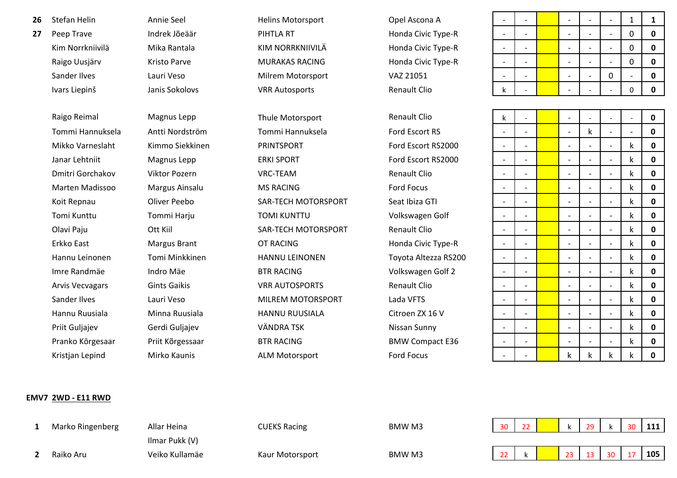- **26**
- **27**

| Stefan Helin     | Annie Seel     | <b>Helins Motorsport</b> | Opel Ascona A      |  |                          |   |  |
|------------------|----------------|--------------------------|--------------------|--|--------------------------|---|--|
| Peep Trave       | Indrek Jõeäär  | PIHTLA RT                | Honda Civic Type-R |  |                          |   |  |
| Kim Norrkniivilä | Mika Rantala   | KIM NORRKNIIVILÄ         | Honda Civic Type-R |  |                          |   |  |
| Raigo Uusjärv    | Kristo Parve   | <b>MURAKAS RACING</b>    | Honda Civic Type-R |  |                          |   |  |
| Sander Ilves     | Lauri Veso     | Milrem Motorsport        | VAZ 21051          |  |                          | 0 |  |
| Ivars Liepinš    | Janis Sokolovs | <b>VRR Autosports</b>    | Renault Clio       |  | $\overline{\phantom{0}}$ |   |  |

| Raigo Reimal     | Magnus Lepp         | Thule Motorsport           | <b>Renault Clio</b>    | k                        |  |    |  |   | 0 |
|------------------|---------------------|----------------------------|------------------------|--------------------------|--|----|--|---|---|
| Tommi Hannuksela | Antti Nordström     | Tommi Hannuksela           | Ford Escort RS         |                          |  |    |  |   | 0 |
| Mikko Varneslaht | Kimmo Siekkinen     | <b>PRINTSPORT</b>          | Ford Escort RS2000     | $\overline{\phantom{a}}$ |  |    |  | k | 0 |
| Janar Lehtniit   | Magnus Lepp         | <b>ERKI SPORT</b>          | Ford Escort RS2000     | $\overline{\phantom{a}}$ |  |    |  |   | 0 |
| Dmitri Gorchakov | Viktor Pozern       | <b>VRC-TEAM</b>            | <b>Renault Clio</b>    | $\overline{\phantom{0}}$ |  |    |  |   | 0 |
| Marten Madissoo  | Margus Ainsalu      | <b>MS RACING</b>           | Ford Focus             |                          |  |    |  | k | 0 |
| Koit Repnau      | Oliver Peebo        | <b>SAR-TECH MOTORSPORT</b> | Seat Ibiza GTI         |                          |  |    |  |   | 0 |
| Tomi Kunttu      | Tommi Harju         | <b>TOMI KUNTTU</b>         | Volkswagen Golf        |                          |  |    |  | k | 0 |
| Olavi Paju       | Ott Kiil            | SAR-TECH MOTORSPORT        | Renault Clio           |                          |  |    |  |   | 0 |
| Erkko East       | <b>Margus Brant</b> | <b>OT RACING</b>           | Honda Civic Type-R     |                          |  |    |  | k | 0 |
| Hannu Leinonen   | Tomi Minkkinen      | <b>HANNU LEINONEN</b>      | Toyota Altezza RS200   |                          |  |    |  | k | 0 |
| Imre Randmäe     | Indro Mäe           | <b>BTR RACING</b>          | Volkswagen Golf 2      |                          |  |    |  | k | 0 |
| Arvis Vecvagars  | <b>Gints Gaikis</b> | <b>VRR AUTOSPORTS</b>      | <b>Renault Clio</b>    | $\qquad \qquad -$        |  |    |  | k | 0 |
| Sander Ilves     | Lauri Veso          | <b>MILREM MOTORSPORT</b>   | Lada VFTS              | $\overline{\phantom{0}}$ |  |    |  | k | 0 |
| Hannu Ruusiala   | Minna Ruusiala      | <b>HANNU RUUSIALA</b>      | Citroen ZX 16 V        | $\overline{\phantom{a}}$ |  |    |  | k | 0 |
| Priit Guljajev   | Gerdi Guljajev      | VÄNDRA TSK                 | Nissan Sunny           |                          |  |    |  | k | 0 |
| Pranko Kōrgesaar | Priit Kõrgessaar    | <b>BTR RACING</b>          | <b>BMW Compact E36</b> |                          |  |    |  | k | 0 |
| Kristjan Lepind  | Mirko Kaunis        | <b>ALM Motorsport</b>      | Ford Focus             |                          |  | k. |  |   | 0 |
|                  |                     |                            |                        |                          |  |    |  |   |   |

### **EMV7 2WD - E11 RWD**

|  | Marko Ringenberg | Allar Heina    | <b>CUEKS Racing</b> | BMW M3        | 30 |  |    | ാവ |    | 30 | 111 |
|--|------------------|----------------|---------------------|---------------|----|--|----|----|----|----|-----|
|  |                  | Ilmar Pukk (V) |                     |               |    |  |    |    |    |    |     |
|  | Raiko Aru        | Veiko Kullamäe | Kaur Motorsport     | <b>BMW M3</b> | 22 |  | 23 |    | 30 |    | 105 |
|  |                  |                |                     |               |    |  |    |    |    |    |     |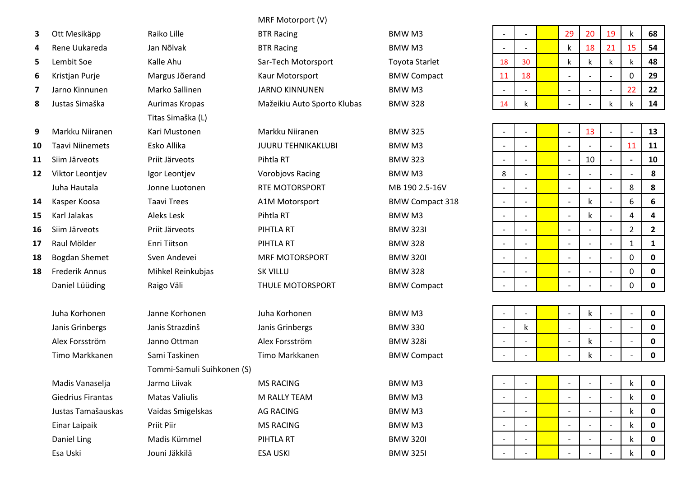| 3               | Ott Mesikäpp           | Raiko Lille        | <b>BTR Racing</b>           | <b>BMWM3</b>           |    |    |
|-----------------|------------------------|--------------------|-----------------------------|------------------------|----|----|
| 4               | Rene Uukareda          | Jan Nõlvak         | <b>BTR Racing</b>           | BMW M3                 |    |    |
| 5               | Lembit Soe             | Kalle Ahu          | Sar-Tech Motorsport         | <b>Toyota Starlet</b>  | 18 | 30 |
| 6               | Kristjan Purje         | Margus Jõerand     | Kaur Motorsport             | <b>BMW Compact</b>     | 11 | 18 |
| 7               | Jarno Kinnunen         | Marko Sallinen     | <b>JARNO KINNUNEN</b>       | BMW M3                 |    |    |
| 8               | Justas Simaška         | Aurimas Kropas     | Mažeikiu Auto Sporto Klubas | <b>BMW 328</b>         | 14 | k  |
|                 |                        | Titas Simaška (L)  |                             |                        |    |    |
| 9               | Markku Niiranen        | Kari Mustonen      | Markku Niiranen             | <b>BMW 325</b>         |    |    |
| LO              | <b>Taavi Niinemets</b> | Esko Allika        | <b>JUURU TEHNIKAKLUBI</b>   | <b>BMW M3</b>          |    |    |
| $\overline{1}$  | Siim Järveots          | Priit Järveots     | Pihtla RT                   | <b>BMW 323</b>         |    |    |
| $\overline{2}$  | Viktor Leontjev        | Igor Leontjev      | <b>Vorobjovs Racing</b>     | BMW M3                 | 8  |    |
|                 | Juha Hautala           | Jonne Luotonen     | RTE MOTORSPORT              | MB 190 2.5-16V         |    |    |
| ι4              | Kasper Koosa           | <b>Taavi Trees</b> | A1M Motorsport              | <b>BMW Compact 318</b> |    |    |
| L5              | Karl Jalakas           | Aleks Lesk         | Pihtla RT                   | BMW M3                 |    |    |
| L6              | Siim Järveots          | Priit Järveots     | PIHTLA RT                   | <b>BMW 323I</b>        |    |    |
| $\overline{.7}$ | Raul Mölder            | Enri Tiitson       | PIHTLA RT                   | <b>BMW 328</b>         |    |    |
| L8              | <b>Bogdan Shemet</b>   | Sven Andevei       | <b>MRF MOTORSPORT</b>       | <b>BMW 320I</b>        |    |    |
| L8              | <b>Frederik Annus</b>  | Mihkel Reinkubjas  | <b>SK VILLU</b>             | <b>BMW 328</b>         |    |    |
|                 | Daniel Lüüding         | Raigo Väli         | <b>THULE MOTORSPORT</b>     | <b>BMW Compact</b>     |    |    |
|                 |                        |                    |                             |                        |    |    |
|                 | Juha Korhonen          | Janne Korhonen     | Juha Korhonen               | BMW M3                 |    |    |
|                 | Janis Grinbergs        | Janis Strazdinš    | Janis Grinbergs             | <b>BMW 330</b>         |    | k  |
|                 | Alex Forsström         | Janno Ottman       | Alex Forsström              | <b>BMW 328i</b>        |    |    |
|                 | Timo Markkanen         | Sami Taskinen      | Timo Markkanen              | <b>BMW Compact</b>     |    |    |

**3**

**4**

**5**

**6**

**7**

**8**

**9**

**10**

**11**

**12**

**14**

**15**

**16**

**17**

**18**

**18**

Tommi-Samuli Suihkonen (S)

as Kropas **Mažeikiu Auto Sporto Klubas** 

MRF Motorport (V)

| BMW M3                 |
|------------------------|
| <b>BMWM3</b>           |
| <b>Toyota Starlet</b>  |
| <b>BMW Compact</b>     |
| <b>BMWM3</b>           |
| <b>BMW 328</b>         |
|                        |
| <b>BMW 325</b>         |
| <b>BMWM3</b>           |
| <b>BMW 323</b>         |
| <b>BMWM3</b>           |
| MB 190 2.5-16V         |
| <b>BMW Compact 318</b> |
| <b>BMWM3</b>           |
| <b>BMW 3231</b>        |
| <b>BMW 328</b>         |
| <b>BMW 3201</b>        |
| <b>BMW 328</b>         |
| <b>BMW Compact</b>     |
|                        |
| <b>BMWM3</b>           |
| <b>BMW 330</b>         |
| <b>BMW 328i</b>        |
| <b>BMW Compact</b>     |
|                        |
| <b>BMWM3</b>           |
| BMW <sub>M3</sub>      |

|     | Ott Mesikäpp           | Raiko Lille        | <b>BTR Racing</b>           | BMW M3                 |                          | $-$                      | 29                       | 20           | 19                       |                       | 68                |
|-----|------------------------|--------------------|-----------------------------|------------------------|--------------------------|--------------------------|--------------------------|--------------|--------------------------|-----------------------|-------------------|
| 4   | Rene Uukareda          | Jan Nõlvak         | <b>BTR Racing</b>           | <b>BMWM3</b>           |                          |                          | k                        | 18           | 21                       | 15                    | 54                |
|     | Lembit Soe             | Kalle Ahu          | Sar-Tech Motorsport         | <b>Toyota Starlet</b>  | 18                       | 30                       | k                        | k.           | k                        |                       | 48                |
| 6   | Kristjan Purje         | Margus Jõerand     | Kaur Motorsport             | <b>BMW Compact</b>     | 11                       | 18                       |                          |              |                          | 0                     | 29                |
| 7   | Jarno Kinnunen         | Marko Sallinen     | <b>JARNO KINNUNEN</b>       | <b>BMW M3</b>          |                          | $\overline{\phantom{0}}$ |                          |              | $\overline{\phantom{a}}$ | 22                    | 22                |
| 8   | Justas Simaška         | Aurimas Kropas     | Mažeikiu Auto Sporto Klubas | <b>BMW 328</b>         | -14                      | k                        |                          |              | k                        |                       | 14                |
|     |                        | Titas Simaška (L)  |                             |                        |                          |                          |                          |              |                          |                       |                   |
| 9   | Markku Niiranen        | Kari Mustonen      | Markku Niiranen             | <b>BMW 325</b>         |                          |                          | $\overline{\phantom{a}}$ | 13           |                          |                       | 13                |
| LO  | <b>Taavi Niinemets</b> | Esko Allika        | <b>JUURU TEHNIKAKLUBI</b>   | BMW M3                 |                          | $\overline{\phantom{a}}$ |                          |              | $\overline{\phantom{a}}$ | 11                    | 11                |
| L1. | Siim Järveots          | Priit Järveots     | Pihtla RT                   | <b>BMW 323</b>         |                          |                          | $\overline{\phantom{a}}$ | 10           |                          |                       | 10                |
| L2. | Viktor Leontjev        | Igor Leontjev      | <b>Vorobjovs Racing</b>     | <b>BMW M3</b>          | 8                        |                          | $\overline{\phantom{a}}$ |              |                          |                       | 8                 |
|     | Juha Hautala           | Jonne Luotonen     | <b>RTE MOTORSPORT</b>       | MB 190 2.5-16V         | $\overline{\phantom{a}}$ | $\overline{\phantom{a}}$ | $\overline{\phantom{a}}$ |              |                          | 8                     | 8                 |
| L4  | Kasper Koosa           | <b>Taavi Trees</b> | A1M Motorsport              | <b>BMW Compact 318</b> |                          | $\overline{\phantom{a}}$ | $\overline{\phantom{a}}$ |              |                          | 6                     | 6                 |
| L5. | Karl Jalakas           | Aleks Lesk         | Pihtla RT                   | BMW M3                 | $\overline{\phantom{a}}$ | $\overline{\phantom{a}}$ | $\overline{\phantom{a}}$ | k            |                          | 4                     | 4                 |
| L6. | Siim Järveots          | Priit Järveots     | PIHTLA RT                   | <b>BMW 3231</b>        |                          |                          |                          |              |                          | $\mathbf{2}^{\prime}$ | $\mathbf{2}$      |
| L7  | Raul Mölder            | Enri Tiitson       | PIHTLA RT                   | <b>BMW 328</b>         |                          | $\overline{\phantom{a}}$ | $\overline{\phantom{a}}$ |              |                          | 1                     | 1                 |
| L8  | <b>Bogdan Shemet</b>   | Sven Andevei       | <b>MRF MOTORSPORT</b>       | <b>BMW 320I</b>        |                          | $\overline{\phantom{a}}$ |                          |              |                          | $\Omega$              | 0                 |
| L8  | <b>Frederik Annus</b>  | Mihkel Reinkubjas  | <b>SK VILLU</b>             | <b>BMW 328</b>         |                          | $\overline{\phantom{0}}$ | $\overline{\phantom{a}}$ |              |                          | 0                     | 0                 |
|     | Daniel Lüüding         | Raigo Väli         | <b>THULE MOTORSPORT</b>     | <b>BMW Compact</b>     |                          |                          |                          |              |                          | 0                     | $\mathbf 0$       |
|     |                        |                    |                             |                        |                          |                          |                          |              |                          |                       |                   |
|     | luha Karhonon          | Janna Karhanan     | luha Karhanan               | $D N A$ $N A$          |                          |                          |                          | $\mathbf{L}$ |                          |                       | $\mathbf{\Omega}$ |

| Juha Korhonen   | Janne Korhonen  | Juha Korhonen   | BMW M3             |  |                          |  |  |
|-----------------|-----------------|-----------------|--------------------|--|--------------------------|--|--|
| Janis Grinbergs | Janis Strazdinš | Janis Grinbergs | <b>BMW 330</b>     |  |                          |  |  |
| Alex Forsström  | Janno Ottman    | Alex Forsström  | <b>BMW 328i</b>    |  | $\overline{\phantom{0}}$ |  |  |
| Timo Markkanen  | Sami Taskinen   | Timo Markkanen  | <b>BMW Compact</b> |  |                          |  |  |

| Jarmo Liivak          | BMW M3                                                                                     |  |  |  | 0 |
|-----------------------|--------------------------------------------------------------------------------------------|--|--|--|---|
| <b>Matas Valiulis</b> | BMW M3                                                                                     |  |  |  | 0 |
| Vaidas Smigelskas     | BMW M3                                                                                     |  |  |  | 0 |
| Priit Piir            | BMW M3                                                                                     |  |  |  | 0 |
| Madis Kümmel          | <b>BMW 320I</b>                                                                            |  |  |  | 0 |
| Jouni Jäkkilä         | <b>BMW 325I</b>                                                                            |  |  |  | 0 |
|                       | <b>MS RACING</b><br>M RALLY TEAM<br>AG RACING<br><b>MS RACING</b><br>PIHTLA RT<br>ESA USKI |  |  |  |   |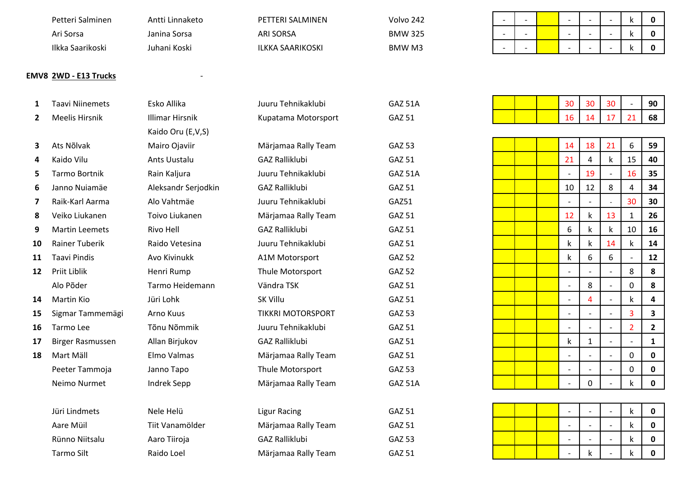| Petteri Salminen    | Antti Linnaketo | PETTERI SALMINEN             | Volvo 242      |  | $\overline{\phantom{0}}$ |  | $\mathbf{v}$ |
|---------------------|-----------------|------------------------------|----------------|--|--------------------------|--|--------------|
| Ari Sorsa           | Janina Sorsa    | <b>ARI SORSA</b>             | <b>BMW 325</b> |  | $\overline{\phantom{0}}$ |  | $\mathbf{v}$ |
| Ilkka<br>Saarikoski | Juhani Koski    | <b>\ SAARIKOSKI</b><br>ILKKA | <b>BMW M3</b>  |  | $\overline{\phantom{0}}$ |  |              |

|  |  |  | $\sim$ 1 $\sim$ | O |
|--|--|--|-----------------|---|
|  |  |  | $\epsilon$ 1    | 0 |
|  |  |  |                 | O |

### **EMV8 2WD - E13 Trucks** -

| 1            | <b>Taavi Niinemets</b>  | Esko Allika            | Juuru Tehnikaklubi       | GAZ 51A       |  | 30                       | 30           | 30                       | $\blacksquare$ | 90                      |
|--------------|-------------------------|------------------------|--------------------------|---------------|--|--------------------------|--------------|--------------------------|----------------|-------------------------|
| $\mathbf{2}$ | <b>Meelis Hirsnik</b>   | <b>Illimar Hirsnik</b> | Kupatama Motorsport      | <b>GAZ 51</b> |  | 16                       | 14           | 17                       | 21             | 68                      |
|              |                         | Kaido Oru (E, V, S)    |                          |               |  |                          |              |                          |                |                         |
| 3            | Ats Nõlvak              | Mairo Ojaviir          | Märjamaa Rally Team      | <b>GAZ 53</b> |  | 14                       | 18           | 21                       | 6              | 59                      |
| 4            | Kaido Vilu              | Ants Uustalu           | <b>GAZ Ralliklubi</b>    | <b>GAZ 51</b> |  | 21                       | 4            | $\mathsf k$              | 15             | 40                      |
| 5            | <b>Tarmo Bortnik</b>    | Rain Kaljura           | Juuru Tehnikaklubi       | GAZ 51A       |  | $\overline{\phantom{a}}$ | 19           |                          | 16             | 35                      |
| 6            | Janno Nuiamäe           | Aleksandr Serjodkin    | <b>GAZ Ralliklubi</b>    | <b>GAZ 51</b> |  | 10                       | 12           | 8                        | Δ              | 34                      |
| 7            | Raik-Karl Aarma         | Alo Vahtmäe            | Juuru Tehnikaklubi       | GAZ51         |  | $\overline{\phantom{a}}$ |              |                          | 30             | 30                      |
| 8            | Veiko Liukanen          | Toivo Liukanen         | Märjamaa Rally Team      | <b>GAZ 51</b> |  | 12                       | k            | 13                       | $\mathbf{1}$   | 26                      |
| 9            | <b>Martin Leemets</b>   | Rivo Hell              | <b>GAZ Ralliklubi</b>    | <b>GAZ 51</b> |  | 6                        | k            | $\mathsf k$              | 10             | 16                      |
| 10           | <b>Rainer Tuberik</b>   | Raido Vetesina         | Juuru Tehnikaklubi       | <b>GAZ 51</b> |  | k                        | k            | 14                       |                | 14                      |
| 11           | <b>Taavi Pindis</b>     | <b>Avo Kivinukk</b>    | A1M Motorsport           | <b>GAZ 52</b> |  | k                        | 6            | 6                        |                | 12                      |
| 12           | Priit Liblik            | Henri Rump             | Thule Motorsport         | <b>GAZ 52</b> |  |                          |              |                          | 8              | 8                       |
|              | Alo Põder               | Tarmo Heidemann        | Vändra TSK               | <b>GAZ 51</b> |  | $\blacksquare$           | 8            |                          | 0              | 8                       |
| 14           | Martin Kio              | Jüri Lohk              | SK Villu                 | <b>GAZ 51</b> |  |                          | 4            |                          | k.             | 4                       |
| 15           | Sigmar Tammemägi        | Arno Kuus              | <b>TIKKRI MOTORSPORT</b> | <b>GAZ 53</b> |  | $\blacksquare$           |              |                          | 3              | 3                       |
| 16           | Tarmo Lee               | Tõnu Nõmmik            | Juuru Tehnikaklubi       | <b>GAZ 51</b> |  | $\overline{\phantom{a}}$ |              |                          | $\overline{2}$ | $\overline{\mathbf{2}}$ |
| 17           | <b>Birger Rasmussen</b> | Allan Birjukov         | <b>GAZ Ralliklubi</b>    | <b>GAZ 51</b> |  | $\mathsf k$              | $\mathbf{1}$ |                          |                | $\mathbf{1}$            |
| 18           | Mart Mäll               | Elmo Valmas            | Märjamaa Rally Team      | <b>GAZ 51</b> |  | $\overline{\phantom{a}}$ |              |                          | 0              | $\mathbf 0$             |
|              | Peeter Tammoja          | Janno Tapo             | Thule Motorsport         | <b>GAZ 53</b> |  | $\blacksquare$           |              | $\overline{\phantom{a}}$ | $\Omega$       | $\mathbf 0$             |
|              | Neimo Nurmet            | <b>Indrek Sepp</b>     | Märjamaa Rally Team      | GAZ 51A       |  | $\mathbf{r}$             | 0            |                          |                | $\mathbf 0$             |
|              |                         |                        |                          |               |  |                          |              |                          |                |                         |
|              | Jüri Lindmets           | Nele Helü              | <b>Ligur Racing</b>      | <b>GAZ 51</b> |  | $\mathbb{L}^2$           |              | $\overline{a}$           | k              | $\mathbf 0$             |
|              | Aare Müil               | Tiit Vanamölder        | Märjamaa Rally Team      | GAZ 51        |  | $\blacksquare$           |              |                          |                | $\mathbf 0$             |
|              | Rünno Niitsalu          | Aaro Tiiroja           | <b>GAZ Ralliklubi</b>    | <b>GAZ 53</b> |  | $\overline{\phantom{a}}$ |              |                          | k.             | $\mathbf 0$             |

Tarmo Silt **Raido Loel** Märjamaa Rally Team GAZ 51

| Α |  |  | $30 \mid 30 \mid 30 \mid - \mid$ | 90 |
|---|--|--|----------------------------------|----|
|   |  |  | 16 14 17 21                      | 68 |

| 3            |  | 14                           | 18                           | 21                           | 6                 | 59             |
|--------------|--|------------------------------|------------------------------|------------------------------|-------------------|----------------|
| $\mathbf 1$  |  | 21                           | $\pmb{4}$                    | k                            | 15                | 40             |
| 1A           |  | $\overline{a}$               | 19                           | $\overline{\phantom{a}}$     | 16                | 35             |
| $\mathbf{1}$ |  | 10                           | 12                           | 8                            | $\sqrt{4}$        | 34             |
|              |  | $\qquad \qquad -$            | $\qquad \qquad \blacksquare$ | ÷,                           | 30                | 30             |
| $\mathbf 1$  |  | 12                           | k                            | 13                           | $\mathbf 1$       | 26             |
| $\mathbf 1$  |  | 6                            | k                            | k                            | 10                | 16             |
| $\mathbf 1$  |  | k                            | $\sf k$                      | 14                           | $\sf k$           | 14             |
| 2            |  | $\sf k$                      | 6                            | 6                            | $\overline{a}$    | 12             |
| 2            |  | $\overline{a}$               | $\overline{\phantom{a}}$     | $\overline{\phantom{0}}$     | 8                 | 8              |
| $\mathbf 1$  |  | -                            | 8                            | $\qquad \qquad \blacksquare$ | 0                 | 8              |
| $\mathbf 1$  |  | $\qquad \qquad$              | 4                            |                              | k                 | 4              |
| 3            |  | -                            | $\qquad \qquad \blacksquare$ | $\overline{\phantom{0}}$     | 3                 | 3              |
| $\mathbf 1$  |  | $\qquad \qquad -$            | $\qquad \qquad -$            | $\overline{a}$               | $\overline{2}$    | $\overline{2}$ |
| $\mathbf 1$  |  | k                            | $\mathbf{1}$                 | $\qquad \qquad \blacksquare$ | $\qquad \qquad -$ | $\mathbf{1}$   |
| $\mathbf 1$  |  | $\overline{a}$               | $\overline{\phantom{0}}$     | $\overline{\phantom{0}}$     | 0                 | 0              |
| 3            |  | $\qquad \qquad \blacksquare$ | $\qquad \qquad \blacksquare$ | $\overline{\phantom{0}}$     | 0                 | 0              |
| 1A           |  | $\qquad \qquad -$            | 0                            |                              | k                 | 0              |

|   |  |  |              | $ k$ 0       |        |       |
|---|--|--|--------------|--------------|--------|-------|
|   |  |  |              | $-1 - 1$     |        | $k$ 0 |
| 3 |  |  |              |              | $ k$ 0 |       |
| 1 |  |  | $\mathsf{k}$ | $\mathbf{L}$ | $k$ 0  |       |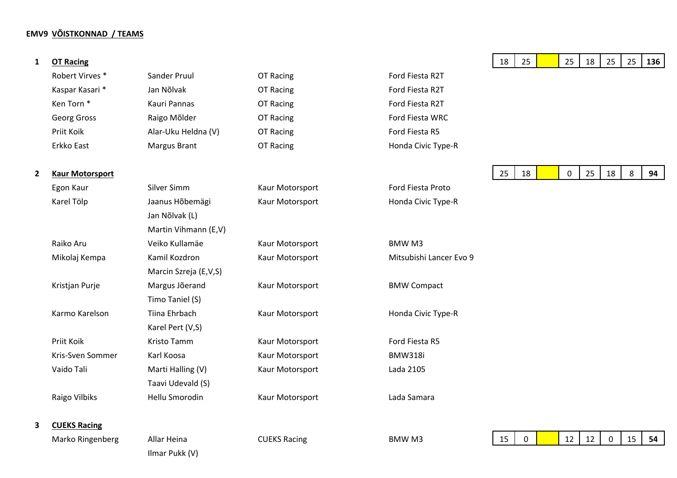### **EMV9 VÕISTKONNAD / TEAMS**

Robert Virves \* Sander Pruul **COT Racing Ford Fiesta R2T** Kaspar Kasari \* The Summar Jan Nõlvak Communistis Communist Communist Communist Communist Communist Communist Co Ken Torn \* The Kauri Pannas The Core Core Core Core Core Core Core Ford Fiesta R2T Georg Gross Raigo Mõlder OT Racing Ford Fiesta WRC Priit Koik **Alar-Uku Heldna (V)** OT Racing Communication Contracts AS Erkko East **Margus Brant OT Racing COU Accident Honda Civic Type-R** 

| Egon Kaur        | Silver Simm           | Kaur Motorsport | Ford Fiesta Proto   |
|------------------|-----------------------|-----------------|---------------------|
| Karel Tölp       | Jaanus Hõbemägi       | Kaur Motorsport | Honda Civic Type-R  |
|                  | Jan Nõlvak (L)        |                 |                     |
|                  | Martin Vihmann (E,V)  |                 |                     |
| Raiko Aru        | Veiko Kullamäe        | Kaur Motorsport | BMW M3              |
| Mikolaj Kempa    | Kamil Kozdron         | Kaur Motorsport | Mitsubishi Lancer E |
|                  | Marcin Szreja (E,V,S) |                 |                     |
| Kristjan Purje   | Margus Jõerand        | Kaur Motorsport | <b>BMW Compact</b>  |
|                  | Timo Taniel (S)       |                 |                     |
| Karmo Karelson   | Tiina Ehrbach         | Kaur Motorsport | Honda Civic Type-R  |
|                  | Karel Pert (V,S)      |                 |                     |
| Priit Koik       | Kristo Tamm           | Kaur Motorsport | Ford Fiesta R5      |
| Kris-Sven Sommer | Karl Koosa            | Kaur Motorsport | <b>BMW318i</b>      |
| Vaido Tali       | Marti Halling (V)     | Kaur Motorsport | Lada 2105           |
|                  | Taavi Udevald (S)     |                 |                     |
| Raigo Vilbiks    | Hellu Smorodin        | Kaur Motorsport | Lada Samara         |
|                  |                       |                 |                     |

### **<sup>3</sup> CUEKS Racing**

Ilmar Pukk (V)

| JUENJ NdCIIIK    |             |                     |                   |  |  |    |     |  |    |
|------------------|-------------|---------------------|-------------------|--|--|----|-----|--|----|
| Marko Ringenberg | Allar Heina | <b>CUEKS Racing</b> | BMW <sub>M3</sub> |  |  | -- | --- |  | 54 |

| OT R:<br>Racing | 18 | $\sim$ $-$<br>,,<br>ت | $\mathcal{D}$ | - 10<br>$\sim$ | つに<br><u>. .</u> | ח ה<br>۔۔ | 136 |  |
|-----------------|----|-----------------------|---------------|----------------|------------------|-----------|-----|--|
|                 |    |                       |               |                |                  |           |     |  |

| Kaur<br>- -<br>-r Motorspor <del>'</del> | $\sim$ $\sim$<br>__ | ם ו<br>Ιč | $\Omega$ | 2E<br>ر ے | 1 O<br>ΤO | -94 |
|------------------------------------------|---------------------|-----------|----------|-----------|-----------|-----|
|                                          |                     |           |          |           |           |     |

nt Kamil Kozdron Mitsubishi Lancer Evo 9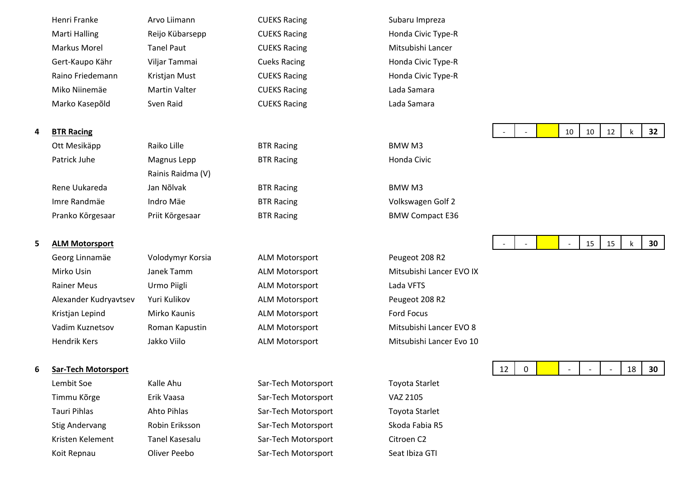Henri Franke Arvo Liimann CUEKS Racing Subaru Impreza Marti Halling The Reijo Kübarsepp CUEKS Racing The Honda Civic Type-R Markus Morel **Tanel Paut** CUEKS Racing **Mitsubishi Lancer** CUEKS Racing Gert-Kaupo Kähr Viljar Tammai Cueks Racing Honda Civic Type-RRaino Friedemann Kristjan Must CUEKS Racing COURT Honda Civic Type-R Miko Niinemäe Martin Valter CUEKS Racing Lada Samara

Marko Kasepõld Sven Raid CUEKS Racing Lada Samara

Ott Mesikäpp Raiko Lille BTR Racing BMW M3

Rene Uukareda Jan Nõlvak BTR Racing BMW M3

Georg Linnamäe Volodymyr Korsia ALM Motorsport Peugeot 208 R2 Mirko Usin Janek Tamm ALM Motorsport Mitsubishi Lancer EVO IXRainer Meus **Call Communist Urmo Piigli** Communist ALM Motorsport Cada VFTS Alexander Kudryavtsev Yuri Kulikov ALM Motorsport Peugeot 208 R2Kristjan Lepind Mirko Kaunis **ALM Motorsport** Ford Focus Vadim Kuznetsov **Roman Kapustin Mitsubishi Lancer EVO 8** ALM Motorsport Mitsubishi Lancer EVO 8

Rainis Raidma (V)

| Lembit Soe       |  |
|------------------|--|
| Timmu Kõrge      |  |
| Tauri Pihlas     |  |
| Stig Andervang   |  |
| Kristen Kelement |  |
| Koit Repnau      |  |

Kalle Ahu Sar-Tech Motorsport Toyota Starlet Erik Vaasa Sar-Tech Motorsport VAZ 2105 Ahto Pihlas **Tauri Example Sar-Tech Motorsport** Toyota Starlet Robin Eriksson Sar-Tech Motorsport Skoda Fabia R5 Tanel Kasesalu Sar-Tech Motorsport Citroen C2 Oliver Peebo Sar-Tech Motorsport Seat Ibiza GTI

| <b>BTR Racing</b> |  | 10 | 10 | -- | $\sim$<br>- |
|-------------------|--|----|----|----|-------------|
|                   |  |    |    |    |             |

Patrick Juhe **Magnus Lepp** BTR Racing BTR Racing Honda Civic

Imre Randmäe and Indro Mäe als BTR Racing and Holkswagen Golf 2 Pranko Kōrgesaar Priit Kōrgesaar BTR Racing BTR Racing BMW Compact E36

- Hendrik Kers Jakko Viilo ALM Motorsport Mitsubishi Lancer Evo 10
	-

| <b>Sar-Tech Motorsport</b> | -- | . . |  |  | - TC | 30 |
|----------------------------|----|-----|--|--|------|----|
|                            |    |     |  |  |      |    |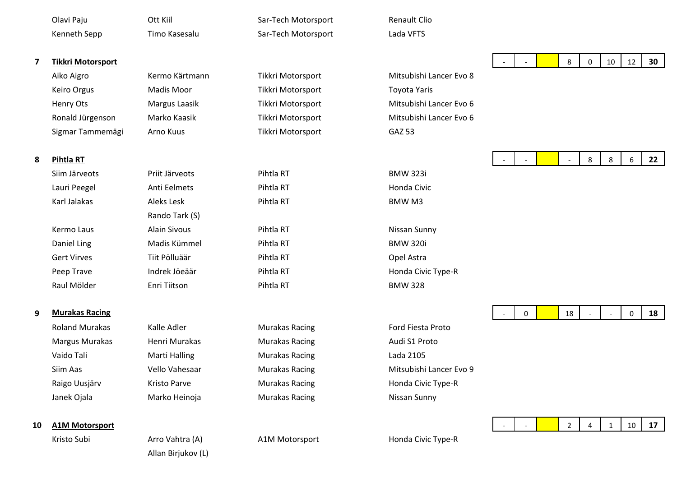Olavi Paju Christen Controllectivity Character Sar-Tech Motorsport Renault Clio Kenneth Sepp Timo Kasesalu Sar-Tech Motorsport Lada VFTS

| Keiro Orgus<br>Madis Moor<br>Tikkri Motorsport<br>Toyota Yaris |                         |
|----------------------------------------------------------------|-------------------------|
| Henry Ots<br>Margus Laasik<br>Tikkri Motorsport                | Mitsubishi Lancer Evo 6 |
| Ronald Jürgenson<br>Marko Kaasik<br>Tikkri Motorsport          | Mitsubishi Lancer Evo 6 |
| Sigmar Tammemägi<br>Tikkri Motorsport<br>Arno Kuus<br>GAZ 53   |                         |

| Tikkri Motorsport |
|-------------------|
| Tikkri Motorsport |
| Tikkri Motorsport |
| Tikkri Motorsport |
| Tikkri Motorsport |
|                   |

## Siim Järveots Priit Järveots Pihtla RT Nährveots Pihtla RT Sena Karte BMW 3231 Lauri Peegel Anti Eelmets Pihtla RT Honda Civic Karl Jalakas Aleks Lesk Pihtla RT BMW M3Rando Tark (S)Kermo Laus Alain Sivous Pihtla RT Nissan Sunny Daniel Ling **Madis Kümmel** Pihtla RT **BMW 320**i Gert Virves Tiit Pōlluäär Pihtla RT Opel Astra Peep Trave Trave Indrek Jōeäär Pihtla RT Pihtla RT Honda Civic Type-R Raul Mölder Enri Tiitson Pihtla RT BMW 328

### **9**

Roland Murakas Kalle Adler **Murakas Racing** Ford Fiesta Proto

# Margus Murakas **Henri Murakas 1986** Murakas Racing Audi S1 Proto Vaido Tali **Marti Halling Communist Communist Communist Communist Communist Communist Communist Communist Communist Communist Communist Communist Communist Communist Communist Communist Communist Communist Communist Commun** Janek Ojala **Marko Heinoja** Murakas Racing Missan Sunny

Allan Birjukov (L)

| Mitsubishi Lancer Evo 8 |
|-------------------------|
| Toyota Yaris            |
| Mitsubishi Lancer Evo 6 |
| Mitsubishi Lancer Evo 6 |
| GAZ 53                  |

| BMW 323i    |
|-------------|
| Honda Civic |
| BMW M3      |

Siim Aas Vello Vahesaar Murakas Racing Mitsubishi Lancer Evo 9Raigo Uusjärv **Kristo Parve Murakas Racing** Murakas Racing Honda Civic Type-R

| <b>Tikkri</b><br>∣ Motorsport |  |  | - ( ) | 10 | . . <i>.</i> | 30 |  |
|-------------------------------|--|--|-------|----|--------------|----|--|
|                               |  |  |       |    |              |    |  |



Kristo Subi **Arro Vahtra (A)** And Analytic Act Motorsport And Honda Civic Type-R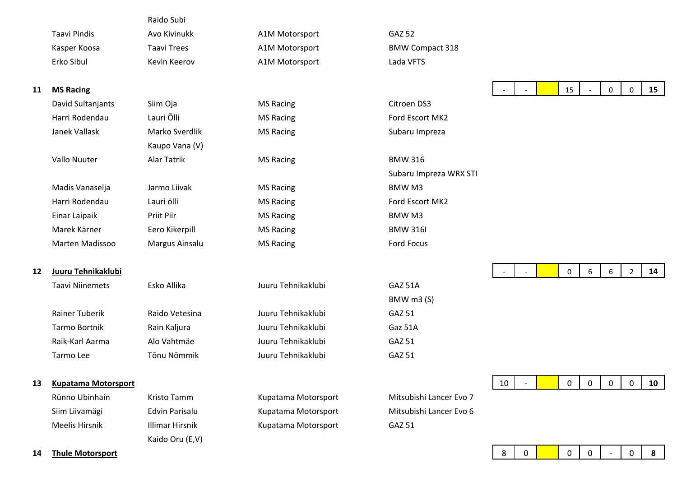|    |                            | Raido Subi             |                     |                         |        |             |                |             |              |    |
|----|----------------------------|------------------------|---------------------|-------------------------|--------|-------------|----------------|-------------|--------------|----|
|    | <b>Taavi Pindis</b>        | Avo Kivinukk           | A1M Motorsport      | <b>GAZ 52</b>           |        |             |                |             |              |    |
|    | Kasper Koosa               | <b>Taavi Trees</b>     | A1M Motorsport      | <b>BMW Compact 318</b>  |        |             |                |             |              |    |
|    | Erko Sibul                 | Kevin Keerov           | A1M Motorsport      | Lada VFTS               |        |             |                |             |              |    |
|    |                            |                        |                     |                         |        |             |                |             |              |    |
| 11 | <b>MS Racing</b>           |                        |                     |                         |        | 15          |                | 0           | $\mathbf 0$  | 15 |
|    | David Sultanjants          | Siim Oja               | <b>MS Racing</b>    | Citroen DS3             |        |             |                |             |              |    |
|    | Harri Rodendau             | Lauri Õlli             | <b>MS Racing</b>    | Ford Escort MK2         |        |             |                |             |              |    |
|    | Janek Vallask              | Marko Sverdlik         | <b>MS Racing</b>    | Subaru Impreza          |        |             |                |             |              |    |
|    |                            | Kaupo Vana (V)         |                     |                         |        |             |                |             |              |    |
|    | Vallo Nuuter               | Alar Tatrik            | <b>MS Racing</b>    | <b>BMW 316</b>          |        |             |                |             |              |    |
|    |                            |                        |                     | Subaru Impreza WRX STI  |        |             |                |             |              |    |
|    | Madis Vanaselja            | Jarmo Liivak           | <b>MS Racing</b>    | BMW M3                  |        |             |                |             |              |    |
|    | Harri Rodendau             | Lauri ölli             | <b>MS Racing</b>    | Ford Escort MK2         |        |             |                |             |              |    |
|    | Einar Laipaik              | Priit Piir             | <b>MS Racing</b>    | <b>BMWM3</b>            |        |             |                |             |              |    |
|    | Marek Kärner               | Eero Kikerpill         | <b>MS Racing</b>    | <b>BMW 316I</b>         |        |             |                |             |              |    |
|    | Marten Madissoo            | Margus Ainsalu         | <b>MS Racing</b>    | Ford Focus              |        |             |                |             |              |    |
|    |                            |                        |                     |                         |        |             |                |             |              |    |
| 12 | Juuru Tehnikaklubi         |                        |                     |                         | $\sim$ | $\mathbf 0$ | 6              | 6           | $2^{\circ}$  | 14 |
|    | <b>Taavi Niinemets</b>     | Esko Allika            | Juuru Tehnikaklubi  | <b>GAZ 51A</b>          |        |             |                |             |              |    |
|    |                            |                        |                     | BMW m3 (S)              |        |             |                |             |              |    |
|    | <b>Rainer Tuberik</b>      | Raido Vetesina         | Juuru Tehnikaklubi  | GAZ 51                  |        |             |                |             |              |    |
|    | Tarmo Bortnik              | Rain Kaljura           | Juuru Tehnikaklubi  | Gaz 51A                 |        |             |                |             |              |    |
|    | Raik-Karl Aarma            | Alo Vahtmäe            | Juuru Tehnikaklubi  | <b>GAZ 51</b>           |        |             |                |             |              |    |
|    | Tarmo Lee                  | Tōnu Nōmmik            | Juuru Tehnikaklubi  | <b>GAZ 51</b>           |        |             |                |             |              |    |
|    |                            |                        |                     |                         |        |             |                |             |              |    |
| 13 | <b>Kupatama Motorsport</b> |                        |                     |                         | 10     | $\mathbf 0$ | $\overline{0}$ | $\mathbf 0$ | $\mathbf{0}$ | 10 |
|    | Rünno Ubinhain             | Kristo Tamm            | Kupatama Motorsport | Mitsubishi Lancer Evo 7 |        |             |                |             |              |    |
|    | Siim Liivamägi             | <b>Edvin Parisalu</b>  | Kupatama Motorsport | Mitsubishi Lancer Evo 6 |        |             |                |             |              |    |
|    | <b>Meelis Hirsnik</b>      | <b>Illimar Hirsnik</b> | Kupatama Motorsport | GAZ 51                  |        |             |                |             |              |    |
|    |                            | Kaido Oru (E,V)        |                     |                         |        |             |                |             |              |    |

**<sup>14</sup> Thule Motorsport** <sup>8</sup> <sup>0</sup> <sup>0</sup> <sup>0</sup> - <sup>0</sup> **<sup>8</sup>**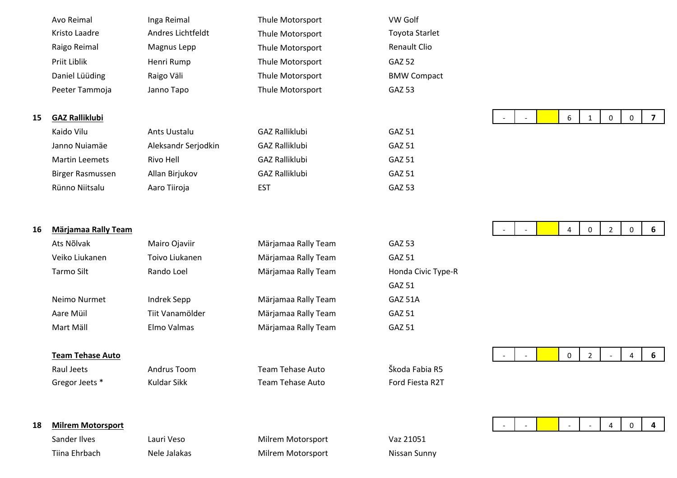| Avo Reimal     | Inga Reimal       | Thule Motorsport | VW Golf               |
|----------------|-------------------|------------------|-----------------------|
| Kristo Laadre  | Andres Lichtfeldt | Thule Motorsport | <b>Toyota Starlet</b> |
| Raigo Reimal   | Magnus Lepp       | Thule Motorsport | <b>Renault Clio</b>   |
| Priit Liblik   | Henri Rump        | Thule Motorsport | <b>GAZ 52</b>         |
| Daniel Lüüding | Raigo Väli        | Thule Motorsport | <b>BMW Compact</b>    |
| Peeter Tammoja | Janno Tapo        | Thule Motorsport | GAZ 53                |

| Kaido Vilu            | Ants Uustalu        | <b>GAZ Ralliklubi</b> | <b>GAZ 51</b> |
|-----------------------|---------------------|-----------------------|---------------|
| Janno Nuiamäe         | Aleksandr Serjodkin | <b>GAZ Ralliklubi</b> | GAZ 51        |
| <b>Martin Leemets</b> | Rivo Hell           | <b>GAZ Ralliklubi</b> | GAZ 51        |
| Birger Rasmussen      | Allan Birjukov      | <b>GAZ Ralliklubi</b> | GAZ 51        |
| Rünno Niitsalu        | Aaro Tiiroja        | EST                   | GAZ 53        |

| . .<br>' Ralliklubi<br>---<br>GA.<br>. .<br>$\tilde{}$ | $\overline{\phantom{0}}$ | 0 |  |
|--------------------------------------------------------|--------------------------|---|--|

|--|--|--|--|--|--|

| 16 |  | Märjamaa Rally Team |
|----|--|---------------------|
|    |  |                     |

| Märjamaa Rally Team |                 |                     |                    | $\overline{\phantom{0}}$ | 4 |
|---------------------|-----------------|---------------------|--------------------|--------------------------|---|
| Ats Nõlvak          | Mairo Ojaviir   | Märjamaa Rally Team | <b>GAZ 53</b>      |                          |   |
| Veiko Liukanen      | Toivo Liukanen  | Märjamaa Rally Team | <b>GAZ 51</b>      |                          |   |
| Tarmo Silt          | Rando Loel      | Märjamaa Rally Team | Honda Civic Type-R |                          |   |
|                     |                 |                     | GAZ 51             |                          |   |
| Neimo Nurmet        | Indrek Sepp     | Märjamaa Rally Team | GAZ 51A            |                          |   |
| Aare Müil           | Tiit Vanamölder | Märjamaa Rally Team | <b>GAZ 51</b>      |                          |   |
| Mart Mäll           | Elmo Valmas     | Märjamaa Rally Team | <b>GAZ 51</b>      |                          |   |
|                     |                 |                     |                    |                          |   |

### **Team Tehase Auto**

| Raul Jeets     | Andrus Toom | Team Tehase Auto | Škoda Fabia R5  |
|----------------|-------------|------------------|-----------------|
| Gregor Jeets * | Kuldar Sikk | Team Tehase Auto | Ford Fiesta R2T |

Sander Ilves **Lauri Veso Milrem Motorsport** Vaz 21051 Tiina Ehrbach **Nele Jalakas** Milrem Motorsport Nissan Sunny



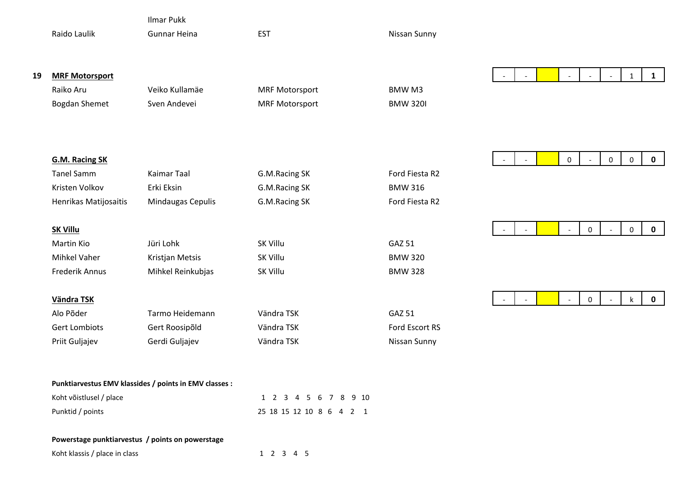|    | Raido Laulik            | <b>Ilmar Pukk</b><br><b>Gunnar Heina</b>               | <b>EST</b>               | Nissan Sunny    |                                                                                           |
|----|-------------------------|--------------------------------------------------------|--------------------------|-----------------|-------------------------------------------------------------------------------------------|
| 19 | <b>MRF Motorsport</b>   |                                                        |                          |                 | 1<br>$\mathbf{1}$                                                                         |
|    | Raiko Aru               | Veiko Kullamäe                                         | <b>MRF Motorsport</b>    | BMW M3          |                                                                                           |
|    | <b>Bogdan Shemet</b>    | Sven Andevei                                           | <b>MRF Motorsport</b>    | <b>BMW 320I</b> |                                                                                           |
|    | <b>G.M. Racing SK</b>   |                                                        |                          |                 | $\mathbf 0$<br>$\mathbf{0}$<br>$\mathbf 0$<br>$\mathbf 0$<br>$\sim$                       |
|    | <b>Tanel Samm</b>       | <b>Kaimar Taal</b>                                     | G.M.Racing SK            | Ford Fiesta R2  |                                                                                           |
|    | Kristen Volkov          | Erki Eksin                                             | G.M.Racing SK            | <b>BMW 316</b>  |                                                                                           |
|    | Henrikas Matijosaitis   | Mindaugas Cepulis                                      | G.M.Racing SK            | Ford Fiesta R2  |                                                                                           |
|    | <b>SK Villu</b>         |                                                        |                          |                 | $\mathbf 0$<br>$\mathbf 0$<br>$\mathbf 0$<br>$\blacksquare$<br>$\overline{\phantom{a}}$   |
|    | Martin Kio              | Jüri Lohk                                              | SK Villu                 | GAZ 51          |                                                                                           |
|    | <b>Mihkel Vaher</b>     | Kristjan Metsis                                        | SK Villu                 | <b>BMW 320</b>  |                                                                                           |
|    | Frederik Annus          | Mihkel Reinkubjas                                      | SK Villu                 | <b>BMW 328</b>  |                                                                                           |
|    | Vändra TSK              |                                                        |                          |                 | $\mathbf 0$<br>$\mathsf k$<br>$\mathbf 0$<br>$\sim$<br>$\overline{\phantom{a}}$<br>$\sim$ |
|    | Alo Põder               | Tarmo Heidemann                                        | Vändra TSK               | GAZ 51          |                                                                                           |
|    | <b>Gert Lombiots</b>    | Gert Roosipõld                                         | Vändra TSK               | Ford Escort RS  |                                                                                           |
|    | Priit Guljajev          | Gerdi Guljajev                                         | Vändra TSK               | Nissan Sunny    |                                                                                           |
|    |                         |                                                        |                          |                 |                                                                                           |
|    |                         | Punktiarvestus EMV klassides / points in EMV classes : |                          |                 |                                                                                           |
|    | Koht võistlusel / place |                                                        | 1 2 3 4 5 6 7 8 9 10     |                 |                                                                                           |
|    | Punktid / points        |                                                        | 25 18 15 12 10 8 6 4 2 1 |                 |                                                                                           |
|    |                         | Powerstage punktiarvestus / points on powerstage       |                          |                 |                                                                                           |

Koht klassis / place in class 1 2 3 4 5